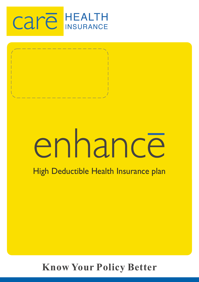



# enhance

# High Deductible Health Insurance plan

# **Know Your Policy Better**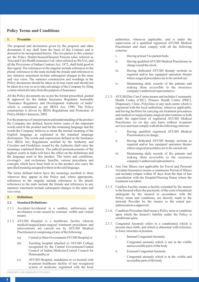# **Policy Terms and Conditions**

#### **1. Preamble**

The proposal and declaration given by the proposer and other documents if any shall form the basis of this Contract and is deemed to be incorporated herein. The two parties to this contract are the Policy Holder/Insured/Insured Persons (also referred as You) and Care Health insurance Ltd. (also referred as We/Us), and all the Provisions of Indian Contract Act, 1872, shall hold good in this regard. The references to the singular include references to the plural; references to the male include the female and references to any statutory enactment include subsequent changes to the same and vice versa. The sentence construction and wordings in the Policy documents should be taken in its true sense and should not be taken in a way so as to take advantage of the Company by filing a claim which deviates from the purpose of Insurance.

All the Policy documents are as per the format prescribed, guided & approved by the Indian Insurance Regulator, honorable "Insurance Regulatory and Development Authority of India" which is constituted as per IRDA Act, 1999. The Policy construction is driven by IRDA Regulations and Protection of Policy Holder's Interests, 2002.

For the purposes of interpretation and understanding of the product the Company has defined, herein below some of the important words used in the product and for the remaining language and the words the Company believes to mean the normal meaning of the English language as explained in the standard language dictionaries. The words and expressions defined in the Insurance Act, IRDA Act, Regulations notified by the Authority and Circulars and Guidelines issued by the Authority shall carry the meanings explained therein. The judicial pronouncements of the highest courts in India will have the effect on the definitions and the language used in this product. The terms and conditions, coverage's and exclusions, benefits, various procedures and concepts which have been built in to the product also carry the specified meaning assigned to them in the said language.

The terms defined below have the meanings ascribed to them wherever they appear in this Policy and, where appropriate, references to the singular include references to the plural; references to the male include the female and references to any statutory enactment include subsequent changes to the same and vice versa.

#### **2. Definitions**

#### **2.1. Standard Definitions:**

- 2.1.1. Accident/Accidental is a sudden, unforeseen and involuntary event caused by external, visible and violent means.
- 2.1.2. AYUSH Hospital is a healthcare facility wherein medical/surgical/para-surgical treatment procedures and interventions are carried out by AYUSH Medical Practitioner(s) comprising of any of the following:
	- (a) Central or State Government AYUSH Hospital or
	- (b) Teaching hospital attached to AYUSH College recognized by the Central Government/Central Council of Indian Medicine/Central Council for Homeopathy;or
	- (c) AYUSH Hospital, standalone or co-located with in-patient healthcare facility of any recognized system of medicine, registered with the local

authorities, wherever applicable, and is under the supervision of a qualified registered AYUSH Medical Practitioner and must comply with all the following criterion:

- i. Having at least 5 in-patient beds;
- ii. Having qualified AYUSH Medical Practitioner in charge round the clock;
- iii. Having dedicated AYUSH therapy sections as required and/or has equipped operation theatre where surgical procedures are to be carried out;
- iv. Maintaining daily records of the patients and making them accessible to the insurance company's authorized representative.
- 2.1.3. AYUSH Day Care Centre means and includes Community Health Centre (CHC), Primary Health Centre (PHC), Dispensary, Clinic, Polyclinic or any such centre which is registered with the local authorities, wherever applicable, and having facilities for carrying out treatment procedures and medical or surgical/para-surgical interventions or both under the supervision of registered AYUSH Medical Practitioner (s) on day care basis without in-patient services and must comply with all the following criterion:
	- i. Having qualified registered AYUSH Medical Practitioner(s) in charge;
	- ii. Having dedicated AYUSH therapy sections as required and/or has equipped operation theatre where surgical procedures are to be carried out;
	- iii. Maintaining daily records of the patients and making them accessible to the insurance company's authorized representative.
- 2.1.4. Any One Illness (not applicable for Travel and Personal Accident Insurance) means a continuous Period of Illness and includes relapse within 45 days from the date of last consultation with the Hospital/Nursing Home where the treatment was taken.
- 2.1.5. Cashless Facility means a facility extended by the insurer to the Insured where the payments, of the costs of treatment undergone by the insured in accordance with the Policy terms and conditions, are directly made to the network Provider by the insurer to the extent preauthorization is approved.
- 2.1.6. Condition Precedent shall mean a Policy term or condition upon which the Insurer's liability under the Policy is conditional upon.
- 2.1.7. Congenital Anomaly refers to a condition(s) which is present since birth, and which is abnormal with reference to form, structure or position.
	- i. Internal Congenital Anomaly

Congenital anomaly which is not in the visible and accessible parts of the body

ii. External Congenital Anomaly

Congenital anomaly which is in the visible and accessible parts of the body

ENHANCE - UIN: RHIHLIP21372V022021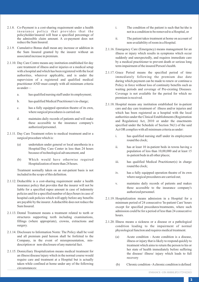- 2.1.8. Co-Payment is a cost-sharing requirement under a health insurance policy that provides that the policyholder/insured will bear a specified percentage of the admissible claim amount. A co-payment does not reduce the Sum Insured.
- 2.1.9. Cumulative Bonus shall mean any increase or addition in the Sum Insured granted by the insurer without an associated increase in premium.
- 2.1.10. Day Care Centre means any institution established for day care treatment of illness and/or injuries or a medical setup with a hospital and which has been registered with the local authorities, wherever applicable, and is under the supervision of a registered and qualified medical practitioner AND must comply with all minimum criteria as under
	- a. has qualified nursing staff under its employment;
	- b. has qualified Medical Practitioner/s in-charge;
	- c. has a fully equipped operation theatre of its own, where surgical procedures is carried out.
	- d. maintains daily records of patients and will make these accessible to the insurance company's authorized personnel.
- 2.1.11. Day Care Treatment refers to medical treatment and/or a surgical procedure which is:
	- (a) undertaken under general or local anesthesia in a Hospital/Day Care Center in less than 24 hours because of technological advancement, and
	- (b) Which would have otherwise required Hospitalization of more than 24 hours.

Treatment normally taken on an out-patient basis is not included in the scope of this definition.

- 2.1.12. Deductible is a cost-sharing requirement under a health insurance policy that provides that the insurer will not be liable for a specified rupee amount in case of indemnity policies and for a specified number of days/hours in case of hospital cash policies which will apply before any benefits are payable by the insurer. Adeductible does not reduce the Sum Insured.
- 2.1.13. Dental Treatment means a treatment related to teeth or structures supporting teeth including examinations, fillings (where appropriate), crowns, extractions and surgery.
- 2.1.14. Disclosure to Information Norm: The Policy shall be void and all premium paid hereon shall be forfeited to the Company, in the event of misrepresentation, misdescription or non-disclosure of any material fact.
- 2.1.15. Domiciliary Hospitalization means medical treatment for an illness/disease/injury which in the normal course would require care and treatment at a Hospital but is actually taken while confined at home under any of the following circumstances:
- i. The condition of the patient is such that he/she is not in a condition to be removed to a Hospital, or
- ii. The patient takes treatment at home on account of non-availability of room in a Hospital.
- 2.1.16. Emergency Care (Emergency) means management for an illness or injury which results in symptoms which occur suddenly and unexpectedly, and requires immediate care by a medical practitioner to prevent death or serious long term impairment of the insured Person's health.
- 2.1.17. Grace Period means the specified period of time immediately following the premium due date during which payment can be made to renew or continue a Policy in force without loss of continuity benefits such as waiting periods and coverage of Pre-existing Diseases. Coverage is not available for the period for which no premium is received.
- 2.1.18. Hospital means any institution established for in-patient care and day care treatment of illness and/or injuries and which has been registered as a hospital with the local authorities under the Clinical Establishments (Registration and Regulation) Act, 2010 or under the enactments specified under the Schedule of Section 56(1) of the said Act OR complies with all minimum criteria as under:
	- i. has qualified nursing staff under its employment round the clock;
	- ii. has at least 10 in-patient beds in towns having a population of less than 10,00,000 and at least 15 in-patient beds in all other places;
	- iii. has qualified Medical Practitioner(s) in charge round the clock;
	- iv. has a fully equipped operation theatre of its own where surgical procedures are carried out;
	- v. maintains daily records of patients and makes these accessible to the insurance company's authorized personnel.
- 2.1.19. Hospitalization means admission in a Hospital for a minimum period of 24 consecutive 'In-patient Care' hours except for specified procedures/treatments, where such admission could be for a period of less than 24 consecutive hours.
- 2.1.20. Illness means a sickness or a disease or a pathological condition leading to the impairment of normal physiological function and requires medical treatment.
	- (a) Acute condition Acute condition is a disease, illness or injury that is likely to respond quickly to treatment which aims to return the person to his or her state of health immediately before suffering the disease/ illness/ injury which leads to full recovery
	- (b) Chronic condition Achronic condition is defined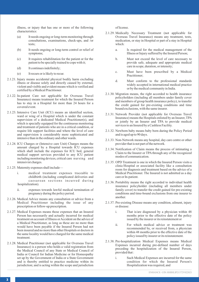illness, or injury that has one or more of the following characteristics:

- (a) It needs ongoing or long-term monitoring through consultations, examinations, check-ups, and /or tests;
- (b) It needs ongoing or long-term control or relief of symptoms;
- (c) It requires rehabilitation for the patient or for the patient to be specially trained to cope with it;
- (d) It continues indefinitely;
- (e) It recurs or is likely to recur.
- 2.1.21. Injury means accidental physical bodily harm excluding illness or disease solely and directly caused by external, violent and visible and evident means which is verified and certified by a Medical Practitioner.
- 2.1.22. In-patient Care not applicable for Overseas Travel Insurance) means treatment for which the Insured Person has to stay in a Hospital for more than 24 hours for a covered event.
- 2.1.23. Intensive Care Unit (ICU) means an identified section, ward or wing of a Hospital which is under the constant supervision of a dedicated Medical Practitioner(s), and which is specially equipped for the continuous monitoring and treatment of patients who are in a critical condition, or require life support facilities and where the level of care and supervision is considerably more sophisticated and intensive than in the ordinary and other wards.
- 2.1.24. ICU Charges or (Intensive care Unit) Charges means the amount charged by a Hospital towards ICU expenses which shall include the expenses for ICU bed, general medical support services provided to any ICU patient including monitoring devices, critical care nursing and intensivist charges.
- 2.1.25. Maternity expenses shall include
	- i. medical treatment expenses traceable to childbirth (including complicated deliveries and caesarean sections incurred during hospitalization).
	- ii. expenses towards lawful medical termination of pregnancy during the policy period.
- 2.1.26. Medical Advice means any consultation or advice from a Medical Practitioner including the issue of any prescription or follow-up prescription.
- 2.1.27. Medical Expenses means those expenses that an Insured Person has necessarily and actually incurred for medical treatment on account of Illness or Accident on the advice of a Medical Practitioner, as long as these are no more than would have been payable if the Insured Person had not been insured and no more than other Hospitals or doctors in the same locality would have charged for the same medical treatment.
- 2.1.28. Medical Practitioner (not applicable for Overseas Travel Insurance) is a person who holds a valid registration from the Medical Council of any State or Medical Council of India or Council for Indian Medicine or for Homeopathy set up by the Government of India or a State Government and is thereby entitled to practice medicine within its jurisdiction; and is acting within the scope and jurisdiction

of license.

- 2.1.29. Medically Necessary Treatment (not applicable for Overseas Travel Insurance) means any treatment, tests, medication, or stay in Hospital or part of a stay in Hospital which:
	- a. Is required for the medical management of the Illness or Injury suffered by the Insured Person;
	- b. Must not exceed the level of care necessary to provide safe, adequate and appropriate medical care in scope, duration, or intensity;
	- c. Must have been prescribed by a Medical Practitioner;
	- d. Must conform to the professional standards widely accepted in international medical practice or by the medical community in India.
- 2.1.30. Migration means, the right accorded to health insurance policyholders (including all members under family cover and members of group health insurance policy), to transfer the credit gained for pre-existing conditions and time bound exclusions, with the same insurer.
- 2.1.31. Network Provider (not applicable for Overseas Travel Insurance) means the Hospitals enlisted by an Insurer, TPA or jointly by an Insurer and TPA to provide medical services to an Insured by a Cashless Facility.
- 2.1.32. Newborn baby means baby born during the Policy Period and is aged up to 90 days.
- 2.1.33. Non-Network means any hospital, day care centre or other provider that is not part of the network.
- 2.1.34. Notification of Claim means the process of intimating a Claim to the Insurer or TPA through any of the recognized modes of communication.
- 2.1.35. OPD Treatment is one in which the Insured Person visits a clinic/Hospital or associated facility like a consultation room for diagnosis and treatment based on the advice of a Medical Practitioner. The Insured is not admitted as a day care or In-patient.
- 2.1.36. Portability means the right accorded to individual health insurance policyholder (including all members under family cover) to transfer the credit gained for pre-existing conditions and time-bound exclusions from one insurer to another.
- 2.1.37. Pre-existing Disease means any condition, ailment, injury or disease:
	- i. That is/are diagnosed by a physician within 48 months prior to the effective date of the policy issued by the insurer or its reinstatement or
	- ii. For which medical advice or treatment was recommended by, or received from, a physician within 48 months prior to the effective date of the policy issued by insurer or its reinstatement.
- 2.1.38. Pre-hospitalization Medical Expenses means Medical Expenses incurred during pre-defined number of days preceding the hospitalization of the Insured Person, provided that :
	- i. Such Medical Expenses are incurred for the same condition for which the Insured Person's Hospitalization was required, and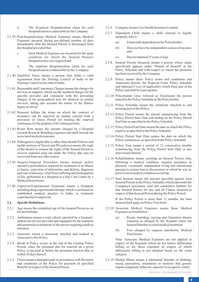- ii. The In-patient Hospitalization claim for such Hospitalization is admissible by the Company.
- 2.1.39. Post-hospitalization Medical Expenses means Medical Expenses incurred during pre-defined number of days immediately after the Insured Person is discharged from the Hospital provided that:
	- i. Such Medical Expenses are incurred for the same condition for which the Insured Person's Hospitalization was required and
	- ii. The inpatient Hospitalization claim for such Hospitalization is admissible by the Company
- 2.1.40. Qualified Nurse means a person who holds a valid registration from the Nursing Council of India or the Nursing Council of any state in India.
- 2.1.41. Reasonable and Customary Charges means the charges for services or supplies, which are the standard charges for the specific provider and consistent with the prevailing charges in the geographical area for identical or similar services, taking into account the nature of the Illness/ Injury involved.
- 2.1.42. Renewal defines the terms on which the contract of insurance can be renewed on mutual consent with a provision of Grace Period for treating the renewal continuous for the purpose of all waiting periods.
- 2.1.43. Room Rent means the amount charged by a Hospital towards Room & Boarding expenses and shall include the associated medical expenses.
- 2.1.44. Subrogation (Applicable to other than Health Policies and health sections of Travel and PA policies) means the right of the Insurer to assume the rights of the Insured Person to recover expenses paid out under the Policy that may be recovered from any other source.
- 2.1.45. Surgery/Surgical Procedure means manual and/or operative procedure(s) required for treatment of an Illness or Injury, correction of deformities and defects, diagnosis and cure of diseases, relief from suffering and prolongation of life, performed in a Hospital or a Day Care Centre by a Medical Practitioner.
- 2.1.46. Unproven/Experimental Treatment means a treatment including drug experimental therapy which is not based on established medical practice in India, is treatment experimental or unproven.

#### **2.2. Specific Definitions:**

- 2.2.1. Age means the completed age of the Insured Person as on his last birthday.
- 2.2.2. Ambulance means a road vehicle operated by a licensed / authorized service provider and equipped for the transport and paramedical treatment of the person requiring medical attention.
- 2.2.3. Annexure means a document attached and marked as Annexure to this Policy.
- 2.2.4. Break in Policy occurs at the end of the existing Policy Period, when the premium due for renewal on a given Policy is not paid or before the premium renewal date or within 30 days thereof.
- 2.2.5. Claim means a demand made in accordance with the terms and conditions of the Policy for payment of specified Benefits in respect of the Insured Person.
- 2.2.6. Company means Care Health Insurance Limited.
- 2.2.7. Dependent Child means a child (natural or legally adopted), who is :
	- (a) Financially dependent on the Policyholder;
	- (b) Does not have his independent sources of income; and
	- (c) Has not attained 25 years of Age.
- 2.2.8. Insured Person (Insured) means a person whose name specifically appears under "Details of Insured" in the Policy Schedule and with respect to whom the premium has been received by the Company.
- 2.2.9. Policy means these Policy terms and conditions and Annexures thereto, the Proposal Form, Policy Schedule and Optional Cover (if applicable) which form part of the Policy and shall be read together.
- 2.2.10. Policyholder (also referred as You)means the person named in the Policy Schedule as the Policyholder.
- 2.2.11. Policy Schedule means the certificate attached to and forming part of this Policy.
- 2.2.12. Policy Period means the period commencing from the Policy Period Start Date and ending on the Policy Period End Date as specified in the Policy Schedule.
- 2.2.13. Policy Period End Date means the date on which the Policy expires, as specified in the Policy Schedule.
- 2.2.14. Policy Period Start Date means the date on which the Policy commences, as specified in the Policy Schedule.
- 2.2.15. Policy Year means a period of 12 consecutive months commencing from the Policy Period Start Date or any anniversary thereof.
- 2.2.16. Rehabilitation means assisting an Insured Person who, following a medical condition, requires assistance in physical, vocational, independent living and educational pursuits to restore him to the position in which he was in, prior to such medical condition occurring.
- 2.2.17. Sum Insured means the amount specified against each Insured Person in the Policy Schedule which represents the Company's maximum, total and cumulative liability for that Insured Person for any and all Claims incurred in respect of that Insured Person during the Policy Period.

If the Policy Period is more than 12 months, the Sum Insured shall apply on Policy Year basis.

- 2.2.18. Associate Medical Expenses means those Medical Expenses as listed below :
	- (a) Room, boarding, nursing and Operation theatre expenses as charged by the Hospital where the Insured Member availed medical treatment
	- (b) Fees charged by surgeon, anesthetist, Medical Practitioner

Note: Associate Medical Expenses are not applied in respect of the hospitals which do not follow differential billing or for those expenses in respect of which differential billing is not adopted based on the room category.

2.2.19. Mental Illness means a substantial disorder of thinking, mood, perception, orientation or memory that grossly impairs judgment, behavior, capacity to recognize, reality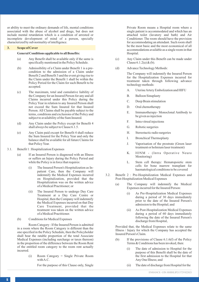or ability to meet the ordinary demands of life, mental conditions associated with the abuse of alcohol and drugs, but does not include mental retardation which is a condition of arrested or incomplete development of mind of a person, specially characterized by sub normality of intelligence.

#### **3. Scope of Cover**

#### **General Conditions applicable to all Benefits:**

- (a) Any Benefit shall be available only if the same is specifically mentioned in the Policy Schedule.
- (b) Admissibility of a Claim under Benefit 1 is a precondition to the admission of a Claim under Benefit 2 and Benefit 3 and the event giving rise to the Claim under the Benefit 1 shall be within the Policy Period for the Claim for such Benefit to be accepted.
- (c) The maximum, total and cumulative liability of the Company for an Insured Person for any and all Claims incurred under this Policy during the Policy Year in relation to any Insured Person shall not exceed the Sum Insured for that Insured Person. All Claims shall be payable subject to the terms, conditions and exclusions of the Policy and subject to availability of the Sum Insured.
- (d) Any Claim under the Policy except for Benefit 4 shall always be subject to Clause 6.1.5.
- (e) Any Claim paid except for Benefit 4 shall reduce the Sum Insured for the Policy Year and only the balance shall be available for all future Claims for that Policy Year.
- 3.1. Benefit 1 : Hospitalization Expenses
	- (a) If an Insured Person is diagnosed with an Illness or suffers an Injury during the Policy Period and while the Policy is in force that requires:
		- (i) The Insured Person's Hospitalization as Inpatient Care, then the Company will indemnify the Medical Expenses incurred on Hospitalization, provided that the Hospitalization was on the written advice of a Medical Practitioner; or
		- (ii) The Insured Person to undergo Day Care Treatment at a Day Care Centre or Hospital, then the Company will indemnify the Medical Expenses incurred on that Day Care Treatment, provided that the treatment was taken on the written advice of a Medical Practitioner.

(b) Conditions for Medical Expenses

Room Category : If the Insured Person is admitted in a room where the Room Category is different than the one specified in the Policy Schedule, then the Policyholder shall bear the ratable proportion of the total Associate Medical Expenses (including surcharge or taxes thereon) in the proportion of the difference between the Room Rent of the entitled room category to the room rent actually incurred.

> (i) Room Category = Single Private Room with A.C.

> > For the purpose of this Clause only, Single

Private Room means a Hospital room where a single patient is accommodated and which has an attached toilet (lavatory and bath) and Air Conditioner. The room should have the provision for accommodating an attendant. Such room shall be the most basic and the most economical of all accommodations available as a single room in that Hospital.

- (c) Any Claim under this Benefit can be made under Clause  $6.1.2(a) \& (b)$ .
- (d) Advance Technology Methods:

The Company will indemnify the Insured Person for the Hospitalization Expenses incurred for treatment taken through following advance technology methods:

- A. Uterine Artery Embolization and HIFU
- B. Balloon Sinuplasty
- C. Deep Brain stimulation
- D. Oral chemotherapy
- E. Immunotherapy- Monoclonal Antibody to be given as injection
- F. Intra vitreal injections
- G. Robotic surgeries
- H. Stereotactic radio surgeries
- I. Bronchical Thermoplasty
- J. Vaporisation of the prostrate (Green laser treatment or holmium laser treatment)
- K. IONM (Intra Operative Neuro Monitoring)
- L. Stem cell therapy: Hematopoietic stem cells for bone marrow transplant for haematological conditions to be covered
- 3.2. Benefit 2 : Pre-Hospitalization Medical Expenses and Post-Hospitalization Medical Expenses
	- (a) The Company will indemnify the Medical Expenses incurred for the Insured Person:
		- As Pre-Hospitalization Medical Expenses during a period of 30 days immediately prior to the date of the Insured Person's admission to the Hospital; and
		- (ii) As Post-Hospitalization Medical Expenses during a period of 60 days immediately following the date of the Insured Person's discharge from Hospital,

Provided that, the Medical Expenses relate to the same Illness / Injury for which the Company has accepted the Insured Person's Claim.

- (b) If the provisions of Clause 6.1.6(f) of the Policy Terms & Conditions has been invoked, then:
	- (i) The date of admission to Hospital for the purpose of this Benefit shall be the date of the first admission to the Hospital for that Any One Illness; and
	- (ii) The date of discharge from Hospital for the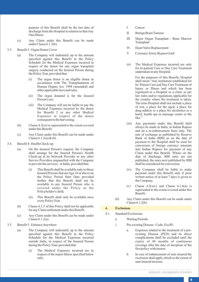purpose of this Benefit shall be the last date of discharge from the Hospital in relation to that Any One Illness.

- (c) Any Claim under this Benefit can be made under Clause 6.1.2(b).
- 3.3. Benefit 3 : Organ Donor Cover
	- (a) The Company will indemnify up to the amount specified against this Benefit in the Policy Schedule for the Medical Expenses incurred in respect of the donor for any organ transplant surgery conducted on the Insured Person during the Policy Year, provided that:
		- (i) The organ donor is an eligible donor in accordance with The Transplantation of Human Organs Act, 1994 (amended) and other applicable laws and rules.
		- (ii) The organ donated is for the Insured Person's use.
		- (iii) The Company will not be liable to pay the Medical Expenses incurred by the donor for Benefit 2 or any other Medical Expenses in respect of the donor consequent to the harvesting.
	- (b) Clause  $4.2(x_i)$  is superseded to the extent covered under this Benefit.
	- (c) Any Claim under this Benefit can be made under Clause 6.1.2(a) & (b).
- 3.4. Benefit 4 : Health Check-up
	- (a) On the Insured Person's request, the Company shall arrange for the Insured Person's Health Check-up at its Network Provider or any other Service Providers empanelled with the Company to provide the services, in India, provided that:
		- (i) This Benefit shall be available only to those Insured Persons that are Age 18 or above on the Policy Period Start Date provided further that this Benefit shall not be available to any Insured Person who is covered under the Policy as the Policyholder's child;
		- (ii) This Benefit shall only be available once every Policy Year.
	- (b) Clause 6.1.5 of this Policy shall not be applicable for any Claim settlement under this Benefit.
	- (c) Any Claim under this Benefit can be made under Clause 6.1.2(a).
- 3.5. Benefit 5 : Enhance Anywhere
	- (a) The Company will indemnify up to the amount specified against this Benefit in the Policy Schedule for the Medical Expenses incurred outside India, in respect of the Insured Person during the Policy Year, provided that:
		- (i) The Medical Expenses incurred are in respect of the major Illness specified below only:
- I Cancer
- II Benign Brain Tumour
- III Major Organ Transplant / Bone Marrow **Transplant**
- IV Heart Valve Replacement
- V Coronary Artery Bypass Graft
- (ii) The Medical Expenses incurred are only for In-patient Care or Day Care Treatment undertaken in any Hospital.

For the purposes of this Benefit, Hospital shall mean "Any institution established for In- Patient Care and Day Care Treatment of Injury or Illness and which has been registered as a Hospital or a clinic as per law rules and/or regulations applicable for the country where the treatment is taken. The term Hospital shall not include a place of rest, a place for the aged, a place for drug-addicts or a place for alcoholics or a hotel, health spa or massage center or the like."

- (iii) Any payments under this Benefit shall always be made in India, in Indian Rupees and on a re-imbursement basis only. The rate of exchange as published by Reserve Bank of India (RBI) as on the date of payment to the Hospital shall be used for conversion of foreign currency amounts into Indian Rupees for payment of any Claim under this Benefit. Where on the date of discharge, RBI rates are not published, the rates next published by RBI shall be considered for conversion.
- (iv) The Company shall be liable to make payment under this Benefit only if prior written notice of at least 7 days is given to the Company.
- (v) Clause 4.2(xiv) and Clause 6.1.6(a) is superseded to the extent covered under this Benefit.
- (b) Any Claim under this Benefit can be made under Clause 6.1.2(b).

# **4. Exclusions**

- 4.1. Standard Exclusions:
	- a. Waiting Periods:
	- i. Pre-existing Disease Code- Excl01
		- a. Expenses related to the treatment of a preexisting Disease (PED) and its direct complications shall be excluded until the expiry of 48 months of continuous coverage after the date of inception of the first policy with insurer.
		- b. In case of enhancement of sum insured the exclusion shall apply afresh to the extent of sum insured increase.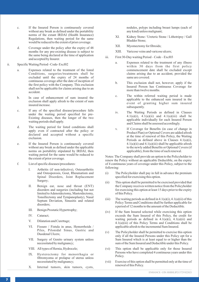- c. If the Insured Person is continuously covered without any break as defined under the portability norms of the extant IRDAI (Health Insurance) Regulations, then waiting period for the same would be reduced to the extent of prior coverage.
- d. Coverage under the policy after the expiry of 48 months for any pre-existing disease is subject to the same being declared at the time of application and accepted by Insurer.
- ii. Specific Waiting Period Code- Excl02
	- a. Expenses related to the treatment of the listed Conditions, surgeries/treatments shall be excluded until the expiry of 24 months of continuous coverage after the date of inception of the first policy with the Company. This exclusion shall not be applicable for claims arising due to an accident.
	- b. In case of enhancement of sum insured the exclusion shall apply afresh to the extent of sum insured increase.
	- c. If any of the specified disease/procedure falls under the waiting period specified for pre-Existing diseases, then the longer of the two waiting periods shall apply.
	- d. The waiting period for listed conditions shall apply even if contracted after the policy or declared and accepted without a specific exclusion.
	- e. If the Insured Person is continuously covered without any break as defined under the applicable norms on portability stipulated by IRDAI, then waiting period for the same would be reduced to the extent of prior coverage.
	- f. List of specific diseases/procedures:
		- I. Arthritis (if non-infective), Osteoarthritis and Osteoporosis, Gout, Rheumatism and Spinal Disorders, Joint Replacement Surgery;
		- II. Benign ear, nose and throat (ENT) disorders and surgeries (including but not limited to Adenoidectomy, Mastoidectomy, Tonsillectomy and Tympanoplasty), Nasal Septum Deviation, Sinusitis and related disorders;
		- III. Benign Prostatic Hypertrophy;
		- IV. Cataract;
		- V. Dilatation and Curettage;
		- VI. Fissure / Fistula in anus, Hemorrhoids / Piles, Pilonidal Sinus, Gastric and Duodenal Ulcers;
		- VII. Surgery of Genito urinary system unless necessitated by malignancy;
		- VIII. All types of Hernia, Hydrocele;
		- IX. Hysterectomy for menorrhagia or fibromyoma or prolapse of uterus unless necessitated by malignancy;
		- X. Internal tumors, skin tumors, cysts,

nodules, polyps including breast lumps (each of any kind) unless malignant;

- XI. Kidney Stone / Ureteric Stone / Lithotripsy / Gall Bladder Stone;
- XII. Myomectomy for fibroids;
- XIII. Varicose veins and varicose ulcers;
- iii. First 30-Day waiting Period Code Excl03
	- a. Expenses related to the treatment of any illness within 30 days from the first policy commencement date shall be excluded except claims arising due to an accident, provided the same are covered.
	- b. This exclusion shall not, however, apply if the Insured Person has Continuous Coverage for more than twelve months.
	- c. The within referred waiting period is made applicable to the enhanced sum insured in the event of granting higher sum insured subsequently.
	- iv. The Waiting Periods as defined in Clauses 4.1(a)(i), 4.1(a)(ii) and 4.1(a)(iii) shall be applicable individually for each Insured Person and Claims shall be assessed accordingly.
	- v. If Coverage for Benefits (in case of change in Product Plan) or Optional Covers are added afresh at the time of renewal of this Policy, the Waiting Periods as defined above in Clauses 4.1(a)(i),  $4.1(a)(ii)$  and  $4.1(a)(iii)$  shall be applicable afresh to the newly added Benefits or Optional Covers (if applicable), from the time of such renewal.

Notes: The Company shall provide an option to the Policyholder to renew the Policy without an applicable Deductible, on the expiry of 4 continuous years of coverage under this Policy, subject to the following:

- (i) The Policyholder shall pay in full in advance the premium specified for exercising this option.
- (ii) This option shall be permitted to be exercised provided that the Company receives written notice from the Policyholder for exercising this option at least 15 days prior to the expiry of this Policy.
- (iii) The waiting periods as defined in  $4.1(a)(i)$ ,  $4.1(a)(ii)$  of this Policy Terms and Conditions shall be further applicable for a period of 12 months to the amount of the Deductible.
- (iv) If the Sum Insured selected while exercising this option exceeds the Sum Insured of this Policy, the credit for waiting periods as defined in 4.1(a)(i), 4.1(a)(ii) and 4.1(a)(iii) of this Policy Terms and Conditions shall be applicable afresh to the incremental Sum Insured.
- (v) The Policyholder shall be permitted to exercise this option only if all the Insured Persons under this Policy opt for a Sum Insured which is at least equal to or higher than the sum of the Sum Insured and Deductible under this Policy.
- (vi) This option shall be applicable only for those Insured Persons who have completed 4 continuous years under this Policy.
- (vii) Exercise of this option shall be permitted only at the time of renewal of this Policy.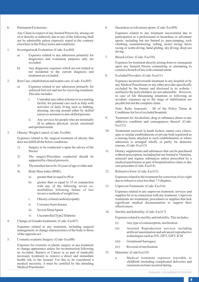b. Permanent Exclusions :

Any Claim in respect of any Insured Person for, arising out of or directly or indirectly due to any of the following shall not be admissible unless expressly stated to the contrary elsewhere in the Policy terms and conditions:

- 1. Investigation & Evaluation: (Code- Excl04)
	- a) Expenses related to any admission primarily for diagnostics and evaluation purposes only are excluded.
	- b) Any diagnostic expenses which are not related or not incidental to the current diagnosis and treatment are excluded.
- 2. Rest Cure, rehabilitation and respite care: (Code- Excl05)
	- a) Expenses related to any admission primarily for enforced bed rest and not for receiving treatment. This also includes:
		- i. Custodial care either at home or in a nursing facility for personal care such as help with activities of daily living such as bathing, dressing, moving around either by skilled nurses or assistant or non-skilled persons.
		- ii. Any services for people who are terminally ill to address physical, social, emotional and spiritual needs.
- 3. Obesity/ Weight Control: (Code- Excl06)

Expenses related to the surgical treatment of obesity that does not fulfill all the below conditions:

- 1) Surgery to be conducted is upon the advice of the Doctor
- 2) The surgery/Procedure conducted should be supported by clinical protocols
- 3) The member has to be 18 years of age or older and
- 4) Body Mass Index (BMI);
	- a) greater than or equal to 40 or
	- b) greater than or equal to 35 in conjunction with any of the following severe comorbidities following failure of less invasive methods of weight loss:
	- i. Obesity-related cardiomyopathy
	- ii. Coronary heart disease
	- iii. Severe Sleep Apnea
	- iv. Uncontrolled Type2 Diabetes
- 4. Change-of-Gender treatments: (Code- Excl07)

Expenses related to any treatment, including surgical management, to change characteristics of the body to those of the opposite sex.

5. Cosmetic or plastic Surgery: (Code- Excl08)

Expenses for cosmetic or plastic surgery or any treatment to change appearance unless for reconstruction following an Accident, Burn(s) or Cancer or as part of medically necessary treatment to remove a direct and immediate health risk to the insured. For this to be considered a medical necessity, it must be certified by the attending Medical Practitioner.

6. Hazardous or Adventure sports: (Code- Excl09)

Expenses related to any treatment necessitated due to participation as a professional in hazardous or adventure sports, including but not limited to, para-jumping, rock climbing, mountaineering, rafting, motor racing, horse racing or scuba diving, hand gliding, sky diving, deep-sea diving.

7. Breach of law: (Code- Excl10)

Expenses for treatment directly arising from or consequent upon any Insured Person committing or attempting to commit a breach of law with criminal intent.

8. Excluded Providers: (Code- Excl11)

Expenses incurred towards treatment in any hospital or by any Medical Practitioner or any other provider specifically excluded by the Insurer and disclosed in its website / notified to the policyholders are not admissible. However, in case of life threatening situations or following an accident, expenses up to the stage of stabilization are payable but not the complete claim.

Note: Refer Annexure – III of the Policy Terms & Conditions for list of excluded hospitals.

- 9. Treatment for Alcoholism, drug or substance abuse or any addictive condition and consequences thereof. (Code-Excl12)
- 10. Treatments received in heath hydros, nature cure clinics, spas or similar establishments or private beds registered as a nursing home attached to such establishments or where admission is arranged wholly or partly for domestic reasons. (Code- Excl13)
- 11. Dietary supplements and substances that can be purchased without prescription, including but not limited to Vitamins, minerals and organic substances unless prescribed by a medical practitioner as part of hospitalization claim or day care procedure (Code- Excl14)
- 12. Refractive Error: (Code- Excl15)

Expenses related to the treatment for correction of eye sight due to refractive error less than 7.5 dioptres.

13. Unproven Treatments: (Code- Excl16)

Expenses related to any unproven treatment, services and supplies for or in connection with any treatment. Unproven treatments are treatments, procedures or supplies that lack significant medical documentation to support their effectiveness.

14. Sterility and Infertility: (Code- Excl17)

Expenses related to sterility and infertility. This includes:

- (i) Any type of contraception, sterilization
- (ii) Assisted Reproduction services including artificial insemination and advanced reproductive technologies such as IVF, ZIFT, GIFT, ICSI
- (iii) Gestational Surrogacy
- (iv) Reversal of sterilization
- 15. Maternity: (Code Excl18)
	- a. Medical treatment expenses traceable to childbirth (including complicated deliveries and caesarean sections incurred during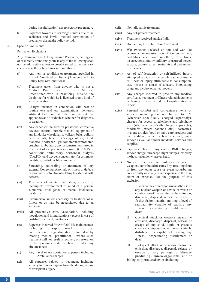during hospitalization) except ectopic pregnancy;

- b. Expenses towards miscarriage (unless due to an accident) and lawful medical termination of pregnancy during the policy period.
- 4.2. Specific Exclusions:

Permanent Exclusions

Any Claim in respect of any Insured Person for, arising out of or directly or indirectly due to any of the following shall not be admissible unless expressly stated to the contrary elsewhere in the Policy terms and conditions:

- (i) Any item or condition or treatment specified in List of Non-Medical Items (Annexure – II to Policy Terms & Conditions).
- (ii) Treatment taken from anyone who is not a Medical Practitioner or from a Medical Practitioner who is practicing outside the discipline for which he is licensed or any kind of self-medication.
- (iii) Charges incurred in connection with cost of routine eye and ear examinations, dentures, artificial teeth and all other similar external appliances and / or devices whether for diagnosis or treatment.
- (iv) Any expenses incurred on prosthesis, corrective devices, external durable medical equipment of any kind, like wheelchairs, walkers, belts, collars, caps, splints, braces, stockings of any kind, diabetic footwear, glucometer/thermometer, crutches, ambulatory devices, instruments used in treatment of sleep apnea syndrome (C.P.A.P) or continuous ambulatory peritoneal dialysis (C.A.P.D.) and oxygen concentrator for asthmatic condition, cost of cochlear implants.
- (v) Screening, counseling or treatment of any external Congenital Anomaly or Illness or defects or anomalies or treatment relating to external birth defects.
- (vi) Treatment of mental retardation, arrested or incomplete development of mind of a person, subnormal intelligence or mental intellectual disability.
- (vii) Circumcision unless necessary for treatment of an Illness or as may be necessitated due to an Accident.
- (viii) All preventive care, vaccination, including inoculation and immunizations (except in case of post-bite treatment) and tonics.
- (ix) Expenses incurred for Artificial life maintenance, including life support machine use, post confirmation of vegetative state or brain dead by treating medical practitioner where such treatment will not result in recovery or restoration of the previous state of health under any circumstances.
- (x) Any travel or transportation expenses including Ambulance charges.
- (xi) All expenses related to treatment, including surgery to remove organs from the donor, in case of transplant surgery.
- (xii) Non-allopathic treatment.
- (xiii) Any out-patient treatment.
- (xiv) Treatment received outside India.
- (xv) Domiciliary Hospitalization / treatment.
- (xvi) War (whether declared or not) and war like occurrence or invasion, acts of foreign enemies, hostilities, civil war, rebellion, revolutions, insurrections, mutiny, military or usurped power, seizure, capture, arrest, restraints and detainment of all kinds.
- (xvii) Act of self-destruction or self-inflicted Injury, attempted suicide or suicide while sane or insane or Illness or Injury attributable to consumption, use, misuse or abuse of tobacco, intoxicating drugs and alcohol or hallucinogens.
- (xviii) Any charges incurred to procure any medical certificate, treatment or Illness related documents pertaining to any period of Hospitalization or Illness.
- (xix) Personal comfort and convenience items or services including but not limited to T.V. (wherever specifically charged separately), charges for access to telephone and telephone calls (wherever specifically charged separately), foodstuffs (except patient's diet), cosmetics, hygiene articles, body or baby care products and bath additive, barber or beauty service, guest service as well as similar incidental services and supplies.
- (xx) Expenses related to any kind of RMO charges, service charge, surcharge, night charges levied by the hospital under whatever head.
- (xxi) Nuclear, chemical or biological attack or weapons, contributed to, caused by, resulting from or from any other cause or event contributing concurrently or in any other sequence to the loss, claim or expense. For the purpose of this exclusion:
	- I Nuclear attack or weapons means the use of any nuclear weapon or device or waste or combustion of nuclear fuel or the emission, discharge, dispersal, release or escape of fissile/ fusion material emitting a level of radioactivity capable of causing any Illness, incapacitating disablement or death.
	- II Chemical attack or weapons means the emission, discharge, dispersal, release or escape of any solid, liquid or gaseous chemical compound which, when suitably distributed, is capable of causing any Illness, incapacitating disablement or death.
	- III Biological attack or weapons means the emission, discharge, dispersal, release or escape of any pathogenic (disease producing) micro-organisms and/or biologically produced toxins (including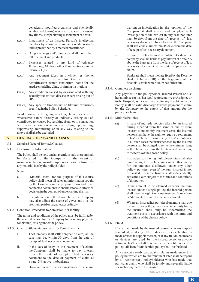genetically modified organisms and chemically synthesized toxins) which are capable of causing any Illness, incapacitating disablement or death.

- (xxii) Impairment of an Insured Person's intellectual faculties by abuse of stimulants or depressants unless prescribed by a medical practitioner.
- (xxiii) Alopecia, wigs and/or toupee and all hair or hair fall treatment and products.
- (xxiv) Expenses related to any kind of Advance Technology Methods other than mentioned in the Clause  $3.1$  (d).
- (xxv) Any treatment taken in a clinic, rest home, convalescent home for the addicted, detoxification center, sanatorium, home for the aged, remodeling clinic or similar institutions.
- (xxvi) Any condition caused by or associated with any sexually transmitted disease except arising out of HIV.
- (xxvii) Any specific time-bound or lifetime exclusions specified in the Policy Schedule.

In addition to the foregoing, any loss, claim or expense of whatsoever nature directly or indirectly arising out of, contributed to, caused by, resulting from, or in connection with any action taken in controlling, preventing, suppressing, minimizing or in any way relating to the above shall also be excluded.

#### **5. GENERALTERMS AND CLAUSES**

- 5.1. Standard General Terms & Clauses
- 5.1.1. Disclosure of Information

The Policy shall be void and all premium paid thereon shall be forfeited to the Company in the event of misrepresentation, mis-description or non-disclosure of any material fact by the policyholder.

Note:

- a. "Material facts" for the purpose of this clause policy shall mean all relevant information sought by the Company in the proposal form and other connected documents to enable it to take informed decision in the context of underwriting the risk.
- b. In continuation to the above clause the Company may also adjust the scope of cover and / or the premium paid or payable, accordingly.
- 5.1.2. Condition Precedent to Admission of Liability

The terms and conditions of the policy must be fulfilled by the insured person for the Company to make any payment for claim(s) arising under the policy.

- 5.1.3. Claim Settlement (provision for Penal Interest)
	- i. The Company shall settle or reject a claim, as the case may be, within 30 days from the date of receipt of last necessary document.
	- ii. In the case of delay in the payment of a claim, the Company shall be liable to pay interest from the date of receipt of last necessary document to the date of payment of claim at a rate 2% above the bank rate .
	- iii. However, where the circumstances of a claim

warrant an investigation in the opinion of the Company, it shall initiate and complete such investigation at the earliest in any case not later than 30 days from the date of receipt of last necessary document. In such cases, the Company shall settle the claim within 45 days from the date of receipt of last necessary document.

iv. In case of delay beyond stipulated 45 days the company shall be liable to pay interest at a rate 2% above the bank rate from the date of receipt of last necessary document to the date of payment of claim.

> Bank rate shall mean the rate fixed by the Reserve Bank of lndia (RBl) at the beginning of the financial year in which claim has fallen due.

5.1.4. Complete discharge

Any payment to the policyholder, Insured Person or his/ her nominees or his/ her legal representative or Assignee or to the Hospital, as the case may be, for any benefit under the Policy shall be valid discharge towards payment of claim by the Company to the extent of that amount for the particular claim.

- 5.1.5. Multiple Policies
	- (a) In case of multiple policies taken by an insured during a period from the same or one or more insurers to indemnify treatment costs, the insured person shall have the right to require a settlement of his/her claim in terms of any of his/her policies. In all such cases the insurer chosen by the insured person shall be obliged to settle the claim as long as the claim is within the limits of and according to the terms of the chosen policy.
	- (b) Insured person having multiple policies shall also have the right to prefer claims under this policy for the amounts disallowed under any other policy/ policies, even if the sum insured is not exhausted. Then the Insurer shall independently settle the claim subject to the terms and conditions of this policy.
	- (c) If the amount to be claimed exceeds the sum insured under a single policy, the insured person shall have the right to choose insurers from whom he/she wants to claim the balance amount.
	- (d) Where an insured has policies from more than one insurer to cover the same risk on indemnity basis, the insured shall only be indemnified the treatment costs in accordance with the terms and conditions of the chosen policy.
- 5.1.6. Fraud

If any claim made by the insured person, is in any respect fraudulent, or if any false statement, or declaration is made or used in support thereof, or if any fraudulent means or devices are used by the insured person or anyone acting on his/her behalf to obtain any benefit under this policy, all benefits under this policy shall be forfeited.

Any amount already paid against claims made under this policy but which are found fraudulent later shall be repaid by all recipient(s) / policyholder(s) who has made that particular claim, who shall be jointly and severally liable for such repayment to the insurer.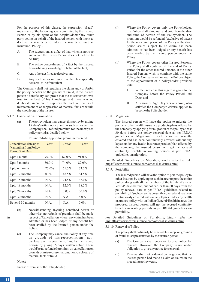For the purpose of this clause, the expression "fraud" means any of the following acts committed by the Insured Person or by his agent or the hospital/doctor/any other party acting on behalf of the insured person, with intent to deceive the insurer or to induce the insurer to issue an insurance Policy:-

- A. The suggestion, as a fact of that which is not true and which the Insured Person does not believe to be true;
- B. The active concealment of a fact by the Insured Person having knowledge or belief of the fact;
- C. Any other act fitted to deceive; and
- D. Any such act or omission as the law specially declares to be fraudulent

The Company shall not repudiate the claim and / or forfeit the policy benefits on the ground of Fraud, if the insured person / beneficiary can prove that the misstatement was true to the best of his knowledge and there was no deliberate intention to suppress the fact or that such misstatement of or suppression of material fact are within the knowledge of the insurer.

- 5.1.7. Cancellation / Termination
	- (a) The policyholder may cancel this policy by giving 15 days'written notice and in such an event, the Company shall refund premium for the unexpired policy period as detailed below

| Cancellation date up to<br>(x months) from Policy<br><b>Period Start Date</b> | 1 Year  | 2 Year  | 3Year    |
|-------------------------------------------------------------------------------|---------|---------|----------|
| Upto 1 month                                                                  | 75.0%   | 87.0%   | 91.0%    |
| Upto 3 months                                                                 | 50.0%   | 74.0%   | 82.0%    |
| Upto 6 months                                                                 | 25.0%   | 61.5%   | 73.5%    |
| Upto 12 months                                                                | $0.0\%$ | 48.5%   | 64.5%    |
| Upto 15 months                                                                | N.A.    | 24.5%   | 47.0%    |
| Upto 18 months                                                                | N.A.    | 12.0%   | 38.5%    |
| Upto 24 months                                                                | N A     | $0.0\%$ | $30.0\%$ |
| Upto 30 months                                                                | N.A.    | N A     | 8.0%     |
| Beyond 30 months                                                              | N.A.    | N.A.    | $0.0\%$  |

#### Refund % to be applied on premium received

- (b) Notwithstanding anything contained herein or otherwise, no refunds of premium shall be made in respect of Cancellation where, any claim has been admitted or has been lodged or any benefit has been availed by the Insured person under the Policy.
	- (c) The Company may cancel the Policy at any time on grounds of mis-representations, nondisclosure of material facts, fraud by the Insured Person, by giving 15 days' written notice. There would be no refund of premium on cancellation on grounds of mis-representations, non-disclosure of material facts or fraud.

Notes:

In case of demise of the Policyholder,

- (i) Where the Policy covers only the Policyholder, this Policy shall stand null and void from the date and time of demise of the Policyholder. The premium would be refunded (exclusive of taxes) for the unexpired period of this Policy at the short period scales subject to no claim has been admitted or has been lodged or any benefit has been availed by the Insured person under the Policy.
- (ii) Where the Policy covers other Insured Persons, this Policy shall continue till the end of Policy Period for the other Insured Persons. If the other Insured Persons wish to continue with the same Policy, the Company will renew the Policy subject to the appointment of a policyholder provided that:
	- I. Written notice in this regard is given to the Company before the Policy Period End Date; and
	- II. A person of Age 18 years or above, who satisfies the Company's criteria applies to become the Policyholder.
- 5.1.8. Migration:

The insured person will have the option to migrate the policy to other health insurance products/plans offered by the company by applying for migration of the policy atleast 30 days before the policy renewal date as per IRDAI guidelines on Migration. lf such person is presently covered and has been continuously covered without any lapses under any health insurance product/plan offered by the company, the insured person will get the accrued continuity benefits in waiting periods as per IRDAI guidelines on migration.

For Detailed Guidelines on Migration, kindly refer the link: https://www.careinsurance.com/other-disclosures.html

5.1.9. Portability:

The insured person will have the option to port the policy to other insurers by applying to such insurer to port the entire policy along with all the members of the family, if any, at least 45 days before, but not earlier than 60 days from the policy renewal date as per IRDAI guidelines related to portability. lf such person is presently covered and has been continuously covered without any lapses under any health insurance policy with an Indian General/Health insurer, the proposed insured person will get the accrued continuity benefits in waiting periods as per IRDAI guidelines on portability.

For Detailed Guidelines on Portability, kindly refer the link:https://www.careinsurance.com/other-disclosures.html

5.1.10. Renewal of Policy

The policy shall ordinarily be renewable except on grounds of fraud, misrepresentation by the insured person.

- (a) The Company shall endeavor to give notice for renewal. However, the Company is not under obligation to give any notice for renewal.
- (b) Renewal shall not be denied on the ground that the insured person had made a claim or claims in the preceding policy years.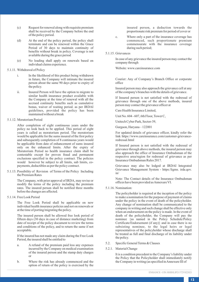- (c) Request for renewal along with requisite premium shall be received by the Company before the end of the policy period.
- (d) At the end of the policy period, the policy shall terminate and can be renewed within the Grace Period of 30 days to maintain continuity of benefits without break in policy. Coverage is not available during the grace period
- (e) No loading shall apply on renewals based on individual claims experience.

#### 5.1.11. Withdrawal of Policy

- i. In the likelihood of this product being withdrawn in future, the Company will intimate the insured person about the same 90 days prior to expiry of the policy.
- ii. Insured Person will have the option to migrate to similar health insurance product available with the Company at the time of renewal with all the accrued continuity benefits such as cumulative bonus, waiver of waiting period. as per IRDAI guidelines, provided the policy has been maintained without a break
- 5.1.12. Moratorium Period

After completion of eight continuous years under the policy no look back to be applied. This period of eight years is called as moratorium period. The moratorium would be applicable for the sums insured of the first policy and subsequently completion of 8 continuous years would be applicable from date of enhancement of sums insured only on the enhanced limits. After the expiry of Moratorium Period no health insurance claim shall be contestable except for proven fraud and permanent exclusions specified in the policy contract. The policies would however be subject to all limits, sub limits, copayments, deductibles as per the policy contract.

5.1.13. Possibility of Revision of Terms of the Policy Including the Premium Rates

> The Company, with prior approval of IRDA, may revise or modify the terms of the policy including the premium rates. The insured person shall be notified three months before the changes are affected.

5.1.14. Free Look Period

The Free Look Period shall be applicable on new individual health insurance policies and not on renewals or at the time of porting/migrating the policy.

The insured person shall be allowed free look period of fifteen days (30 days in case of distance marketing) from date of receipt of the policy document to review the terms and conditions of the policy, and to return the same if not acceptable.

If the insured has not made any claim during the Free Look Period, the insured shall be entitled to

- a. A refund of the premium paid less any expenses incurred by the Company on medical examination of the insured person and the stamp duty charges or
- b. Where the risk has already commenced and the option of return of the policy is exercised by the

insured person, a deduction towards the proportionate risk premium for period of cover or

c. Where only a part of the insurance coverage has commenced, such proportionate premium commensurate with the insurance coverage during such period;

#### 5.1.15. Grievances

In case of any grievance the insured person may contact the company through

Website: www.careinsurance.com

Courier: Any of Company's Branch Office or corporate office

Insured person may also approach the grievance cell at any of the company's branches with the details of grievance.

If Insured person is not satisfied with the redressal of grievance through one of the above methods, insured person may contact the grievance officer at

Care Health Insurance Limited,

Unit No. 604 - 607, 6th Floor, Tower C,

Unitech Cyber Park, Sector-39,

Gurgaon, Haryana – 122001

For updated details of grievance officer, kindly refer the link https://www.careinsurance.com/customer-grievanceredressal.html

If Insured person is not satisfied with the redressal of grievance through above methods, the insured person may also approach the office of Insurance Ombudsman of the respective area/region for redressal of grievance as per Insurance Ombudsman Rules 2017.

Grievance may also be lodged at IRDAI lntegrated Grievance Management System - https:/ligms. irda.qov. in/

Note: The Contact details of the Insurance Ombudsman offices have been provided as Annexure VI.

5.1.16. Nomination:

The policyholder is required at the inception of the policy to make a nomination for the purpose of payment of claims under the policy in the event of death of the policyholder. Any change of nomination shall be communicated to the company in writing and such change shall be effective only when an endorsement on the policy is made. In the event of death of the policyholder, the Company will pay the nominee {as named in the Policy Schedule/Policy Certificate/Endorsement (if any)} and in case there is no subsisting nominee, to the legal heirs or legal representatives of the policyholder whose discharge shall be treated as full and final discharge of its liability under the policy.

- 5.2. Specific General Terms & Clauses
- 5.2.1. Material Change

It is a condition precedent to the Company's liability under the Policy that the Policyholder shall immediately notify the Company in writing (as specified in Annexure III of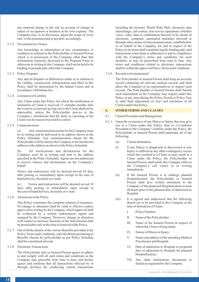any material change in the risk on account of change in nature of occupation or business at his own expense. The Company may, in its discretion, adjust the scope of cover and / or the premium paid or payable, accordingly.

#### 5.2.2. No constructive Notice

Any knowledge or information of any circumstance or condition in relation to the Policyholder or Insured Person which is in possession of the Company other than that information expressly disclosed in the Proposal Form or otherwise in writing to the Company, shall not be held to be binding or prejudicially affect the Company.

#### 5.2.3. Policy Disputes

Any and all disputes or differences under or in relation to the validity, construction, interpretation and effect to this Policy shall be determined by the Indian Courts and in accordance with Indian law.

#### 5.2.4. Limitation of Liability

Any Claim under this Policy for which the notification or intimation of Claim is received 12 calendar months after the event or occurrence giving rise to the Claim shall not be admissible, unless the Policyholder proves to the Company's satisfaction that the delay in reporting of the Claim was for reasons beyond his control.

#### 5.2.5. Communication

(a) Any communication meant for the Company must be in writing and be delivered to its address shown in the Policy Schedule. Any communication meant for the Policyholder will be sent by the Company to his last known address or the address as shown in the Policy Schedule.

(b) All notifications and declarations for the Company must be in writing and sent to the address specified in the Policy Schedule. Agents are not authorized to receive notices and declarations on the Company's behalf.

Notice and instructions will be deemed served 10 days after posting or immediately upon receipt in the case of hand delivery, facsimile or e-mail.

(c) Notice and instructions will be deemed served 10 days after posting or immediately upon receipt in the case of hand delivery, facsimile or e-mail.

5.2.6. Alterations in the Policy

This Policy constitutes the complete contract of insurance. No change or alteration shall be valid or effective unless approved in writing by the Company, which approval shall be evidenced by a written endorsement signed and stamped by the Company. However, change or alteration with respect to increase/ decrease of the Sum Insured shall be permissible only at the time of renewal of the Policy.

- 5.2.7. Out of all the details of the various Benefits provided in the Policy Terms and Conditions, only the details pertaining to Benefits chosen by policyholder as per Policy Schedule shall be considered relevant
- 5.2.8. Electronic Transactions

The Policyholder and /or Insured Person agrees to adhere to and comply with all such terms and conditions as the Company may prescribe from time to time, and hereby agrees and confirms that all transactions effected by or through facilities for conducting remote transactions

including the Internet, World Wide Web, electronic data interchange, call centers, tele-service operations (whether voice, video, data or combination thereof) or by means of electronic, computer, automated machines network or through other means of telecommunication, established by or on behalf of the Company, for and in respect of the Policy or its terms shall constitute legally binding and valid transactions when done in adherence to and in compliance with the Company's terms and conditions for such facilities, as may be prescribed from time to time. Any terms and conditions related to electronic transactions shall be within the approved Policy Terms and Conditions

#### 5.2.9. Records to be maintained

The Policyholder or Insured Person shall keep an accurate record containing all relevant medical records and shall allow the Company or its representatives to inspect such records. The Policyholder or Insured Person shall furnish such information as the Company may require under this Policy at any time during the Policy Period or Policy Year or until final adjustment (if any) and resolution of all Claims under this Policy.

#### **6. OTHER TERMS AND CLAUSES**

#### 6.1. Claims Procedure and Management

- 6.1.1. Upon the occurrence of any Illness or Injury that may give rise to a Claim under this Policy, then as a Condition Precedent to the Company's liability under the Policy, the Policyholder or Insured Person shall undertake all of the following:
	- (a) Claims Intimation
	- (i) If any Illness is diagnosed or discovered or any Injury is suffered or any other contingency occurs which has resulted in a Claim or may result in a Claim under the Policy, the Policyholder or Insured Person, shall notify the Company either at the Company's call center or in writing immediately.
	- (ii) If the Insured Person is to undergo planned Hospitalization, the Policyholder or Insured Person shall give written intimation to the Company of the proposed Hospitalization at least 48 hours prior to the planned date of admission to Hospital.
	- (iii) It is agreed and understood that the following details are to be provided to the Company at the time of intimation of Claim:
		- I. Policy Number;
		- II. Name of the Policyholder;
		- III. Name of the Insured Person in respect of whom the Claim is being made;
		- IV. Nature of Illness or Injury;
		- V. Name and address of the attending Medical Practitioner and Hospital;
		- VI. Date of admission to Hospital or proposed date of admission to Hospital for planned Hospitalization;
		- VII. Any other information, documents or details as requested by the Company.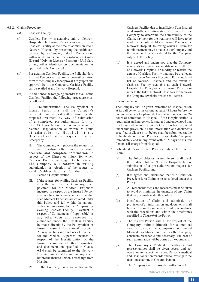- 6.1.2. Claims Procedure
	- (a) Cashless Facility
	- (i) Cashless Facility is available only at Network Hospitals. The Insured Person can avail of this Cashless Facility at the time of admission into a Network Hospital, by presenting the health card provided by the Company under this Policy along with a valid photo identification document (Voter ID card / Driving License / Passport / PAN Card or any other identification documentation as approved by the Company).
	- (ii) For availing Cashless Facility, the Policyholder / Insured Person shall submit a pre-authorization form to the Company for approval. Only upon due approval from the Company, Cashless Facility can be availed at any Network Hospital.
	- (iii) In addition to the foregoing, in order to avail of the Cashless Facility, the following procedure must be followed:

I. Pre-authorization: The Policyholder or Insured Person must call the Company's call center and request authorization for the proposed treatment by way of submission of a completed pre-authorization form at least 48 hours before the commencement of planned Hospitalization or within 24 hours of admission to Hospital, if the Hospitalization is required in an Emergency.

II. The Company will process the request for authorization after having obtained accurate and complete information in respect of the Illness or Injury for which Cashless Facility is sought to be availed. The Company will confirm in writing authorization or rejection of the request to avail Cashless Facility for the Insured Person's Hospitalization.

III. If the request for availing Cashless Facility is authorized by the Company, then payment for the Medical Expenses incurred in respect of the Insured Person shall not have to be made to the extent that such Medical Expenses are covered under this Policy and fall within the amount authorized in writing by the Company for availing Cashless Facility. Payment in respect of Co-payments (if applicable) or any other costs and expenses not authorized under the Cashless Facility be made directly by the Policyholder or Insured Person to the Network Hospital. All original bills and evidence of treatment for the Medical Expenses incurred in respect of the Hospitalization of the Insured Person and all other information and documentation specified in Clause 6.1.4 shall be submitted to the Network Hospital immediately and in any event before the Insured Person's discharge from Hospital.

Cashless Facility due to insufficient Sum Insured or if insufficient information is provided to the Company to determine the admissibility of the Claim, payment for the treatment will have to be made by the Policyholder or Insured Person to the Network Hospital, following which a Claim for reimbursement may be made to the Company and the same will be considered by the Company subject to the Policy.

- (iv) It is agreed and understood that the Company may, in its sole discretion, modify or add to the list of Network Hospitals or modify or restrict the extent of Cashless Facility that may be availed at any particular Network Hospital. For an updated list of Network Hospitals and the extent of Cashless Facility available at each Network Hospital, the Policyholder or Insured Person can refer to the list of Network Hospitals available on
- (b) Re-imbursement

The Company shall be given intimation of Hospitalization at its call center or in writing at least 48 hours before the commencement of a planned Hospitalization or within 24 hours of admission to Hospital, if the Hospitalization is required in an Emergency. It is agreed and understood that in all cases where intimation of a Claim has been provided under this provision, all the information and documents specified in Clause 6.1.4 below shall be submitted (at the Policyholder or Insured Person's expense) to the Company immediately and in any event within 15 days of Insured Person's discharge from Hospital.

- 6.1.3. Policyholder's or Insured Person's duty at the time of Claim
	- (a) The Policyholder or Insured Person shall check the updated list of Network Hospitals before submission of a pre-authorization request for Cashless Facility; and
	- (b) It is agreed and understood that as a Condition Precedent for a Claim to be considered under this Policy:
	- (i) All reasonable steps and measures must be taken to avoid or minimize the quantum of any Claim that may be made under this Policy.
	- (ii) Notification of Claim and submission or provision of all information and documents shall be made promptly and in any event in accordance with the procedures and within the timeframes specified in Clause 6 of the Policy.
	- (iii) The Insured Person will, at the request of the Company, submit himself for a medical examination by the Company's nominated Medical Practitioner as often as the Company considers reasonable and necessary. The cost of such examination will be borne by the Company.
	- (iv) The Company's Medical Practitioner and representatives shall be given access and cooperation to inspect the Insured Person's medical and Hospitalization records and to investigate the facts and examine the Insured Person.
	- (v) The Company shall be provided with complete

IV. If the Company does not authorize the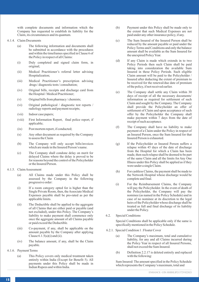with complete documents and information which the Company has requested to establish its liability for the Claim, its circumstances and its quantum.

- 6.1.4. Claim Documents
	- (a) The following information and documents shall be submitted in accordance with the procedures and within the timeframes specified in Clause 6 of the Policy in respect of all Claims:
	- (i) Duly completed and signed claim form, in original;
	- (ii) Medical Practitioner's referral letter advising Hospitalization;
	- (iii) Medical Practitioner's prescription advising drugs / diagnostic tests / consultation;
	- (iv) Original bills, receipts and discharge card from the Hospital / Medical Practitioner;
	- (v) Original bills from pharmacy / chemists;
	- (vi) Original pathological / diagnostic test reports / radiology reports and payment receipts;
	- (vii) Indoor case papers;
	- (viii) First Information Report, final police report, if applicable;
	- (ix) Post mortem report, if conducted;
	- (x) Any other document as required by the Company to assess the Claim
	- (b) The Company will only accept bills/invoices which are made in the Insured Person's name.
	- (c) The Company shall condone delay on merit for delayed Claims where the delay is proved to be for reasons beyond the control of the Policyholder or the Insured Person.
- 6.1.5. Claim Assessment
	- (a) All Claims made under this Policy shall be assessed by the Company in the following progressive order:
	- (i) If a room category opted for is higher than the Single Private Room, then, the Associate Medical Expenses payable shall be pro-rated as per the applicable limits.
	- (ii) The Deductible shall be applied to the aggregate of all Claims that are either paid or payable (and not excluded), under this Policy. The Company's liability to make payment shall commence only once the aggregate amount of all Claims payable or paid exceed the Deductible.
	- (iii) Co-payment, if any, shall be applicable on the amount payable by the Company after applying Clause  $6.1.5(a)(i)$  and  $(ii)$ .
	- (iv) The balance amount, if any, shall be the Claim payable.
- 6.1.6. Payment Terms
	- (a) This Policy covers only medical treatment taken entirely within India (Except for Benefit 5). All payments under this Policy shall be made in Indian Rupees and within India.
- (b) Payment under this Policy shall be made only to the extent that such Medical Expenses are not paid under any other insurance policy, if any.
- (c) The Sum Insured of the Insured Person shall be reduced by the amount payable or paid under the Policy Terms and Conditions and only the balance amount shall be available as the Sum Insured for the unexpired Policy Year.
- (d) If any Claim is made which extends in to two Policy Periods then such Claim shall be paid taking into consideration the available Sum Insured in these Policy Periods. Such eligible Claim amount will be paid to the Policyholder / Insured after deducting the extent of premium to be received for the renewal/due date of premium of the policy, if not received earlier.
- (e) The Company shall settle any Claim within 30 days of receipt of all the necessary documents/ information as required for settlement of such Claim and sought by the Company. The Company shall provide the Policyholder an offer of settlement of Claim and upon acceptance of such offer by the Policyholder the Company shall make payment within 7 days from the date of receipt of such acceptance.
- (f) The Company shall have no liability to make payment of a Claim under the Policy in respect of an Insured Person, once the Sum Insured for that Insured Person is exhausted.
- (g) If the Policyholder or Insured Person suffers a relapse within 45 days of the date of discharge from the Hospital for which a Claim has been made, then such relapse shall be deemed to be part of the same Claim and all the limits for Any One Illness under this Policy shall be applied as if they were under a single Claim.
- (h) For cashless Claims, the payment shall be made to the Network Hospital whose discharge would be complete and final.
- (i) For the Reimbursement Claims, the Company will pay the Policyholder. In the event of death of the Policyholder, the Company will pay the nominee (as named in the Policy Schedule) and in case of no nominee at its discretion to the legal heirs of the Policyholder whose discharge shall be treated as full and final discharge of its liability under the Policy.
- 6.2. Special Conditions

Special Conditions shall be applicable only if the same is specifically mentioned in the Policy Schedule.

- 6.2.1. Special Condition 1 : Floater Cover
	- (a) The Company's maximum, total and cumulative liability, for any and all Claims incurred during the Policy Year in respect of all Insured Persons, shall not exceed the Sum Insured.
	- (b) Definition 2.2.17 is deleted entirely and replaced with the following:

Sum Insured: The amount specified in the Policy Schedule which represents the Company's maximum, total and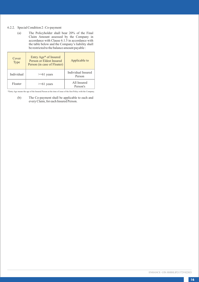# 6.2.2. Special Condition 2 : Co-payment

(a) The Policyholder shall bear 20% of the Final Claim Amount assessed by the Company in accordance with Clause 6.1.5 in accordance with the table below and the Company's liability shall be restricted to the balance amount payable :

| Cover<br>Type | Entry Age* of Insured<br>Person or Eldest Insured<br>Person (in case of Floater) | Applicable to                |
|---------------|----------------------------------------------------------------------------------|------------------------------|
| Individual    | $>= 61$ years                                                                    | Individual Insured<br>Person |
| Floater       | $>= 61$ years                                                                    | All Insured<br>Person's      |

\*Entry Age means the age of the Insured Person at the time of issue of the first Policy with the Company.

(b) The Co-payment shall be applicable to each and every Claim, for each Insured Person.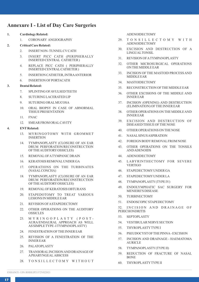# **Annexure I - List of Day Care Surgeries**

- **1. Cardiology Related:**
	- 1. CORONARY ANGIOGRAPHY

# **2. Critical Care Related:**

- 2. INSERTNON- TUNNELCVCATH
- 3. INSERT PICC CATH (PERIPHERALLY INSERTED CENTRAL CATHETER )
- 4. REPLACE PICC CATH ( PERIPHERALLY INSERTED CENTRALCATHETER )
- 5. INSERTION CATHETER, INTRAANTERIOR
- 34. MASTOIDECTOMY 6. INSERTION OF PORTACATH

# **3. Dental Related:**

- 7. SPLINTING OF AVULSED TEETH
- 8. SUTURING LACERATED LIP
- 9. SUTURING ORALMUCOSA
- 10. ORAL BIOPSY IN CASE OF ABNORMAL TISSUE PRESENTATION
- 11. FNAC
- 12. SMEAR FROM ORAL CAVITY

#### **4. ENTRelated:**

- 13. MYRINGOTOMY WITH GROMMET INSERTION
- 14. TYMPANOPLASTY (CLOSURE OF AN EAR DRUM PERFORATION/RECONSTRUCTION OF THE AUDITORYOSSICLES)
- 15. REMOVALOF ATYMPANIC DRAIN
- 16. KERATOSIS REMOVALUNDER GA
- 17. OPERATIONS ON THE TURBINATES (NASALCONCHA)
- 18. TYMPANOPLASTY (CLOSURE OF AN EAR DRUM PERFORATION/RECONSTRUCTION OF THE AUDITORYOSSICLES)
- 19. REMOVALOF KERATOSIS OBTURANS
- 20. STAPEDOTOMY TO TREAT VARIOUS LESIONS IN MIDDLE EAR
- 21. REVISION OF ASTAPEDECTOMY
- 22. OTHER OPERATIONS ON THE AUDITORY **OSSICLES**
- 23. MYRINGOPLASTY (POST-AURA/ENDAURAL APPROACH AS WELL AS SIMPLE TYPE -I TYMPANOPLASTY)
- 24. FENESTRATION OF THE INNER EAR
- 25. REVISION OF A FENESTRATION OF THE INNER EAR
- 26. PALATOPLASTY
- 27. TRANSORALINCISION AND DRAINAGE OF APHARYNGEAL ABSCESS
- 28. TONSILLECTOMY WITHOUT

ADENOIDECTOMY

- 29. T O N S I L L E C T O M Y W I T H ADENOIDECTOMY
- 30. EXCISION AND DESTRUCTION OF A LINGUALTONSIL
- 31. REVISION OF ATYMPANOPLASTY
- 32. OTHER MICROSURGICAL OPERATIONS ON THE MIDDLE EAR
- 33. INCISION OF THE MASTOID PROCESS AND MIDDLE EAR
- 
- 35. RECONSTRUCTION OF THE MIDDLE EAR
- 36. OTHER EXCISIONS OF THE MIDDLE AND INNER EAR
- 37. INCISION (OPENING) AND DESTRUCTION (ELIMINATION) OF THE INNER EAR
- 38. OTHER OPERATIONS ON THE MIDDLE AND INNER EAR
- 39. EXCISION AND DESTRUCTION OF DISEASED TISSUE OF THE NOSE
- 40. OTHER OPERATIONS ON THE NOSE
- 41. NASALSINUS ASPIRATION
- 42. FOREIGN BODYREMOVALFROM NOSE
- 43. OTHER OPERATIONS ON THE TONSILS AND ADENOIDS
- 44. ADENOIDECTOMY
- 45. LABYRINTHECTOMY FOR SEVERE **VERTIGO**
- 46. STAPEDECTOMYUNDER GA
- 47. STAPEDECTOMYUNDER LA
- 48. TYMPANOPLASTY(TYPE IV)
- 49. ENDOLYMPHATIC SAC SURGERY FOR MENIERE'S DISEASE
- 50. TURBINECTOMY
- 51. ENDOSCOPIC STAPEDECTOMY

52. INCISION AND DRAINAGE OF PERICHONDRITIS

- 53. SEPTOPLASTY
- 54. VESTIBULAR NERVE SECTION
- 55. THYROPLASTYTYPE I
- 56. PSEUDOCYSTOF THE PINNA- EXCISION
- 57. INCISION AND DRAINAGE HAEMATOMA AURICLE
- 58. TYMPANOPLASTY(TYPE II)
- 59. REDUCTION OF FRACTURE OF NASAL BONE
- 60. THYROPLASTYTYPE II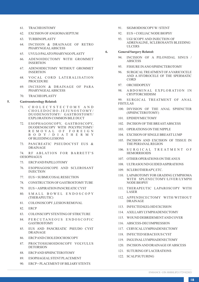- 61. TRACHEOSTOMY
- 62. EXCISION OF ANGIOMASEPTUM
- 63. TURBINOPLASTY
- 64. INCISION & DRAINAGE OF RETRO PHARYNGEALABSCESS
- 65. UVULO PALATO PHARYNGO PLASTY
- 66. ADENOIDECTOMY WITH GROMMET INSERTION
- 67. ADENOIDECTOMY WITHOUT GROMMET INSERTION
- 68. VOCAL CORD LATERALISATION PROCEDURE
- 69. INCISION & DRAINAGE OF PARA PHARYNGEALABSCESS
- 70. TRACHEOPLASTY

#### **5. Gastroenterology Related:**

- 71. C H O L E C Y S T E C T O M Y A N D C H O L E D O C H O - J E J U N O S T O M Y / DUODENOSTOMY/ GASTROSTOMY/ EXPLORATION COMMON BILE DUCT
- 72. ESOPHAGOSCOPY, GASTROSCOPY, DUODENOSCOPY WITH POLYPECTOMY/ R E M O V A L O F F O R E I G N B O D Y / D I A T H E R M Y OF BLEEDING LESIONS
- 73. PANCREATIC PSEUDOCYST EUS & DRAINAGE

74. RF ABLATION FOR BARRETT'S OESOPHAGUS

- 75. ERCPAND PAPILLOTOMY
- 76. ESOPHAGOSCOPE AND SCLEROSANT INJECTION
- 77. EUS + SUBMUCOSALRESECTION
- 78. CONSTRUCTION OF GASTROSTOMYTUBE
- 79. EUS + ASPIRATION PANCREATIC CYST
- 80. SMALL BOWEL ENDOSCOPY (THERAPEUTIC)
- 81. COLONOSCOPY,LESION REMOVAL
- 82. ERCP
- 83. COLONSCOPYSTENTING OF STRICTURE
- 84. PERCUTANEOUS ENDOSCOPIC **GASTROSTOMY**
- 85. EUS AND PANCREATIC PSEUDO CYST DRAINAGE
- 86. ERCPAND CHOLEDOCHOSCOPY
- 87. PROCTOSIGMOIDOSCOPY VOLVULUS DETORSION
- 88. ERCPAND SPHINCTEROTOMY
- 89. ESOPHAGEALSTENTPLACEMENT
- 90. ERCP+ PLACEMENTOF BILIARYSTENTS
- 91. SIGMOIDOSCOPYW/ STENT
- 92. EUS + COELIAC NODE BIOPSY
- 93. UGI SCOPY AND INJECTION OF ADRENALINE, SCLEROSANTS BLEEDING ULCERS
- **6. General Surgery Related:**
	- INCISION OF A PILONIDAL SINUS / **ABSCESS**
	- 95. FISSURE IN ANO SPHINCTEROTOMY
	- 96. SURGICALTREATMENTOF AVARICOCELE AND A HYDROCELE OF THE SPERMATIC CORD
	- 97. ORCHIDOPEXY
	- 98. A B D O M I N A L EXPLORATION IN CRYPTORCHIDISM

99. SURGICAL TREATMENT OF ANAL FISTUL AS

- 100. DIVISION OF THE ANAL SPHINCTER (SPHINCTEROTOMY)
- 101. EPIDIDYMECTOMY
- 102. INCISION OF THE BREASTABSCESS
- 103. OPERATIONS ON THE NIPPLE
- 104. EXCISION OF SINGLE BREASTLUMP
- 105. INCISION AND EXCISION OF TISSUE IN THE PERIANALREGION
- 106. SURGICAL TREATMENT OF **HEMORRHOIDS**
- 107. OTHER OPERATIONS ON THE ANUS
- 108. ULTRASOUND GUIDED ASPIRATIONS
- 109. SCLEROTHERAPY, ETC.
- 110. LAPAROTOMYFOR GRADING LYMPHOMA WITH SPLENECTOMY/LIVER/LYMPH NODE BIOPSY
- 111. THERAPEUTIC LAPAROSCOPY WITH LASER
- 112. APPENDICECTOMY WITH/WITHOUT DRAINAGE
- 113. INFECTED KELOID EXCISION
- 114. AXILLARYLYMPHADENECTOMY
- 115. WOUND DEBRIDEMENTAND COVER
- 116. ABSCESS-DECOMPRESSION
- 117. CERVICALLYMPHADENECTOMY
- 118. INFECTED SEBACEOUS CYST
- 119. INGUINALLYMPHADENECTOMY
- 120. INCISION AND DRAINAGE OF ABSCESS
- 121. SUTURING OF LACERATIONS
- 122. SCALPSUTURING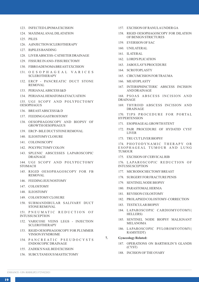- 123. INFECTED LIPOMAEXCISION
- 124. MAXIMALANALDILATATION
- 125. PILES
- 126. A)INJECTION SCLEROTHERAPY
- 127. B)PILES BANDING
- 128. LIVER ABSCESS- CATHETER DRAINAGE
- 129. FISSURE IN ANO- FISSURECTOMY
- 130. FIBROADENOMABREASTEXCISION
- 131. O E S O P H A G E A L V A R I C E S **SCLEROTHERAPY**
- 132. ERCP PANCREATIC DUCT STONE REMOVAL
- 133. PERIANALABSCESS I&D
- 134. PERIANALHEMATOMAEVACUATION

135. UGI SCOPY AND POLYPECTOMY **OESOPHAGUS** 

- 136. BREASTABSCESS I& D
- 137. FEEDING GASTROSTOMY
- 138. OESOPHAGOSCOPY AND BIOPSY OF GROWTH OESOPHAGUS
- 139. ERCP- BILE DUCTSTONE REMOVAL
- 140. ILEOSTOMYCLOSURE
- 141. COLONOSCOPY
- 142. POLYPECTOMYCOLON
- 143. SPLENIC ABSCESSES LAPAROSCOPIC DRAINAGE
- 144. UGI SCOPY AND POLYPECTOMY STOMACH
- 145. RIGID OESOPHAGOSCOPY FOR FB REMOVAL
- 146. FEEDING JEJUNOSTOMY
- 147. COLOSTOMY
- 148. ILEOSTOMY
- 149. COLOSTOMYCLOSURE
- 150. SUBMANDIBULAR SALIVARY DUCT STONE REMOVAL

151. PNEUMATIC REDUCTION OF INTUSSUSCEPTION

- 152. VARICOSE VEINS LEGS INJECTION SCLEROTHERAPY
- 153. RIGID OESOPHAGOSCOPY FOR PLUMMER VINSON SYNDROME
- 154. PANCREATIC PSEUDOCYSTS ENDOSCOPIC DRAINAGE
- 155. ZADEK'S NAILBED EXCISION
- 156. SUBCUTANEOUS MASTECTOMY
- 157. EXCISION OF RANULAUNDER GA
- 158. RIGID OESOPHAGOSCOPY FOR DILATION OF BENIGN STRICTURES
- 159. EVERSION OF SAC
- 160. UNILATERAL
- 161. ILATERAL
- 162. LORD'S PLICATION
- 163. JABOULAY'S PROCEDURE
- 164. SCROTOPLASTY
- 165. CIRCUMCISION FOR TRAUMA
- 166. MEATOPLASTY
- 167. INTERSPHINCTERIC ABSCESS INCISION AND DRAINAGE

168. PSOAS ABSCESS INCISION AND DRAINAGE

169. THYROID ABSCESS INCISION AND DRAINAGE

170. TIPS PROCEDURE FOR PORTAL HYPERTENSION

- 171. ESOPHAGEALGROWTH STENT
- 172. PAIR PROCEDURE OF HYDATID CYST LIVER
- 173. TRU CUTLIVER BIOPSY

174. PHOTODYNAMIC THERAPY OR ESOPHAGEAL TUMOUR AND LUNG TUMOUR

175. EXCISION OF CERVICALRIB

176. LAPAROSCOPIC REDUCTION OF INTUSSUSCEPTION

- 177. MICRODOCHECTOMYBREAST
- 178. SURGERYFOR FRACTURE PENIS
- 179. SENTINELNODE BIOPSY
- 180. PARASTOMALHERNIA
- 181. REVISION COLOSTOMY
- 182. PROLAPSED COLOSTOMY- CORRECTION
- 183. TESTICULAR BIOPSY
- 184. LAPAROSCOPIC CARDIOMYOTOMY( HELLERS)
- 185. SENTINEL NODE BIOPSY MALIGNANT MELANOMA
- 186. LAPAROSCOPIC PYLOROMYOTOMY( RAMSTEDT)

**7. Gynecology Related:**

- 187. OPERATIONS ON BARTHOLIN'S GLANDS (CYST)
- 188. INCISION OF THE OVARY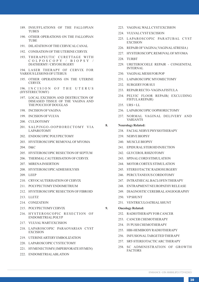- 189. INSUFFLATIONS OF THE FALLOPIAN **TURES**
- 190. OTHER OPERATIONS ON THE FALLOPIAN TUBE
- 191. DILATATION OF THE CERVICALCANAL
- 192. CONISATION OF THE UTERINE CERVIX
- 193. THERAPEUTIC CURETTAGE WITH C O L P O S C O P Y / B I O P S Y / DIATHERMY/ CRYOSURGERY
- 194. LASER THERAPY OF CERVIX FOR VARIOUS LESIONS OF UTERUS
- 195. OTHER OPERATIONS ON THE UTERINE **CERVIX**

196. INCISION OF THE UTERUS (HYSTERECTOMY)

- 197. LOCAL EXCISION AND DESTRUCTION OF DISEASED TISSUE OF THE VAGINA AND THE POUCH OF DOUGLAS
- 198. INCISION OF VAGINA
- 199. INCISION OF VULVA
- 200. CULDOTOMY
- 201. SALPINGO-OOPHORECTOMY VIA LAPAROTOMY
- 202. ENDOSCOPIC POLYPECTOMY
- 203. HYSTEROSCOPIC REMOVALOF MYOMA
- 204. D&C
- 205. HYSTEROSCOPIC RESECTION OF SEPTUM
- 206. THERMALCAUTERISATION OF CERVIX
- 207. MIRENAINSERTION
- 208. HYSTEROSCOPIC ADHESIOLYSIS
- 209. LEEP
- 210. CRYOCAUTERISATION OF CERVIX
- 211. POLYPECTOMYENDOMETRIUM
- 212. HYSTEROSCOPIC RESECTION OF FIBROID
- 213. LLETZ
- 214. CONIZATION
- 215. POLYPECTOMYCERVIX
- 216. HYSTEROSCOPIC RESECTION OF ENDOMETRIALPOLYP
- 217. VULVALWARTEXCISION
- 218. LAPAROSCOPIC PARAOVARIAN CYST EXCISION
- 219. UTERINE ARTERYEMBOLIZATION
- 220. LAPAROSCOPIC CYSTECTOMY
- 221. HYMENECTOMY( IMPERFORATE HYMEN)
- 222. ENDOMETRIALABLATION
- 223. VAGINALWALLCYSTEXCISION
- 224. VULVALCYSTEXCISION
- 225. LAPAROSCOPIC PARATUBAL CYST EXCISION
- 226. REPAIR OF VAGINA( VAGINALATRESIA)
- 227. HYSTEROSCOPY, REMOVALOF MYOMA
- 228. TURBT
- 229. URETEROCOELE REPAIR CONGENITAL INTERNAL
- 230. VAGINALMESH FOR POP
- 231. LAPAROSCOPIC MYOMECTOMY
- 232. SURGERYFOR SUI
- 233. REPAIR RECTO- VAGINAFISTULA
- 234. PELVIC FLOOR REPAIR( EXCLUDING FISTULAREPAIR)
- 235. URS + LL
- 236. LAPAROSCOPIC OOPHORECTOMY
- 237. NORMAL VAGINAL DELIVERY AND VARIANTS

#### **8. Neurology Related:**

- 238. FACIALNERVE PHYSIOTHERAPY
- 239. NERVE BIOPSY
- 240. MUSCLE BIOPSY
- 241. EPIDURALSTEROID INJECTION
- 242. GLYCEROLRHIZOTOMY
- 243 SPINAL CORD STIMULATION
- 244. MOTOR CORTEX STIMULATION
- 245. STEREOTACTIC RADIOSURGERY
- 246. PERCUTANEOUS CORDOTOMY
- 247. INTRATHECALBACLOFEN THERAPY
- 248. ENTRAPMENTNEUROPATHYRELEASE
- 249. DIAGNOSTIC CEREBRALANGIOGRAPHY
- 250. VPSHUNT
- 251. VENTRICULOATRIALSHUNT
- **9. Oncology Related:** 
	- 252. RADIOTHERAPYFOR CANCER
	- 253. CANCER CHEMOTHERAPY
	- 254. IVPUSH CHEMOTHERAPY
	- 255. HBI-HEMIBODYRADIOTHERAPY
	- 256. INFUSIONALTARGETED THERAPY
	- 257. SRT-STEREOTACTIC ARC THERAPY
	- 258. SC ADMINISTRATION OF GROWTH **FACTORS**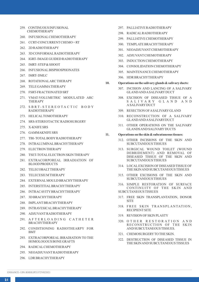- 259. CONTINUOUS INFUSIONAL CHEMOTHERAPY
- 260. INFUSIONALCHEMOTHERAPY
- 261. CCRT-CONCURRENTCHEMO + RT
- 262. 2D RADIOTHERAPY
- 263. 3D CONFORMALRADIOTHERAPY
- 264. IGRT- IMAGE GUIDED RADIOTHERAPY
- 265. IMRT- STEP& SHOOT
- 266. INFUSIONALBISPHOSPHONATES
- 267. IMRT- DMLC
- 268. ROTATIONALARC THERAPY
- 269. TELE GAMMATHERAPY
- 270. FSRT-FRACTIONATED SRT
- 271. VMAT-VOLUMETRIC MODULATED ARC THERAPY
- 272. SBRT-STEREOTACTIC BODY RADIOTHERAPY
- 273. HELICALTOMOTHERAPY
- 274. SRS-STEREOTACTIC RADIOSURGERY
- 275. X-KNIFE SRS
- 276. GAMMAKNIFE SRS
- 277. TBI- TOTALBODYRADIOTHERAPY
- 278. INTRALUMINALBRACHYTHERAPY
- 279. ELECTRON THERAPY
- 280. TSET-TOTALELECTRON SKIN THERAPY
- 281. EXTRACORPOREAL IRRADIATION OF BLOOD PRODUCTS
- 282. TELECOBALTTHERAPY
- 283. TELECESIUM THERAPY
- 284. EXTERNALMOULD BRACHYTHERAPY
- 285. INTERSTITIALBRACHYTHERAPY
- 286. INTRACAVITYBRACHYTHERAPY
- 287. 3D BRACHYTHERAPY
- 288. IMPLANTBRACHYTHERAPY
- 289. INTRAVESICALBRACHYTHERAPY
- 290. ADJUVANTRADIOTHERAPY
- 291. A F T E R L O A D I N G C A T H E T E R BRACHYTHERAPY
- 292. CONDITIONING RADIOTHEARPY FOR BMT
- 293. EXTRACORPOREAL IRRADIATION TO THE HOMOLOGOUS BONE GRAFTS
- 294. RADICALCHEMOTHERAPY
- 295. NEOADJUVANTRADIOTHERAPY
- 296. LDR BRACHYTHERAPY
- 297. PALLIATIVE RADIOTHERAPY
- 298. RADICALRADIOTHERAPY
- 299. PALLIATIVE CHEMOTHERAPY
- 300. TEMPLATE BRACHYTHERAPY
- 301. NEOADJUVANTCHEMOTHERAPY
- 302. ADJUVANTCHEMOTHERAPY
- 303. INDUCTION CHEMOTHERAPY
- 304. CONSOLIDATION CHEMOTHERAPY
- 305. MAINTENANCE CHEMOTHERAPY
- 306. HDR BRACHYTHERAPY
- **10. Operations on the salivary glands & salivary ducts:**
	- 307. INCISION AND LANCING OF A SALIVARY GLAND AND ASALIVARYDUCT
	- 308. EXCISION OF DISEASED TISSUE OF A S A L I V A R Y G L A N D A N D A SALIVARYDUCT
	- 309. RESECTION OF ASALIVARYGLAND
	- 310. RECONSTRUCTION OF A SALIVARY GLAND AND ASALIVARYDUCT
	- 311. OTHER OPERATIONS ON THE SALIVARY GLANDS AND SALIVARY DUCTS
- **11. Operations on the skin & subcutaneous tissues:**
	- 312. OTHER INCISIONS OF THE SKIN AND SUBCUTANEOUS TISSUES
	- 313. SURGICAL WOUND TOILET (WOUND DEBRIDEMENT) AND REMOVAL OF DISEASED TISSUE OF THE SKIN AND SUBCUTANEOUS TISSUES
	- 314. LOCALEXCISION OF DISEASED TISSUE OF THE SKIN AND SUBCUTANEOUS TISSUES
	- 315. OTHER EXCISIONS OF THE SKIN AND SUBCUTANEOUS TISSUES

316. SIMPLE RESTORATION OF SURFACE CONTINUITY OF THE SKIN AND SUBCUTANEOUS TISSUES

- 317. FREE SKIN TRANSPLANTATION, DONOR SITE
- 318. FREE SKIN TRANSPLANTATION, RECIPIENTSITE
- 319. REVISION OF SKIN PLASTY
- 320. O T H E R R E S T O R A T I O N A N D RECONSTRUCTION OF THE SKIN AND SUBCUTANEOUS TISSUES.
- 321. CHEMOSURGERYTO THE SKIN.
- 322. DESTRUCTION OF DISEASED TISSUE IN THE SKIN AND SUBCUTANEOUS TISSUES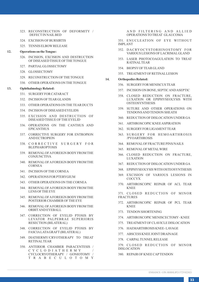- 323. RECONSTRUCTION OF DEFORMITY / DEFECTIN NAILBED
- 324. EXCISION OF BURSIRTIS
- 325. TENNIS ELBOWRELEASE

#### **12. Operations on the Tongue:**

- 326. INCISION, EXCISION AND DESTRUCTION OF DISEASED TISSUE OF THE TONGUE
- 327. PARTIALGLOSSECTOMY
- 328. GLOSSECTOMY
- 329. RECONSTRUCTION OF THE TONGUE
- 330. OTHER OPERATIONS ON THE TONGUE

#### **13. Ophthalmology Related:**

- 331. SURGERYFOR CATARACT
- 332. INCISION OF TEAR GLANDS
- 333. OTHER OPERATIONS ON THE TEAR DUCTS
- 334. INCISION OF DISEASED EYELIDS
- 335. EXCISION AND DESTRUCTION OF DISEASED TISSUE OF THE EYELID
- 336. OPERATIONS ON THE CANTHUS AND EPICANTHUS
- 337. CORRECTIVE SURGERY FOR ENTROPION AND ECTROPION
- 338. C O R R E C T I V E S U R G E R Y F O R BLEPHAROPTOSIS
- 339. REMOVALOF AFOREIGN BODYFROM THE **CONJUNCTIVA**
- 340. REMOVALOF AFOREIGN BODYFROM THE CORNEA
- 341. INCISION OF THE CORNEA
- 342. OPERATIONS FOR PTERYGIUM
- 343. OTHER OPERATIONS ON THE CORNEA
- 344. REMOVALOF AFOREIGN BODYFROM THE LENS OF THE EYE
- 345. REMOVALOF AFOREIGN BODYFROM THE POSTERIOR CHAMBER OF THE EYE
- 346. REMOVALOF AFOREIGN BODYFROM THE ORBITAND EYEBALL
- 347. CORRECTION OF EYELID PTOSIS BY LEVATOR PALPEBRAE SUPERIORIS RESECTION (BILATERAL)
- 348. CORRECTION OF EYELID PTOSIS BY FASCIALATAGRAFT (BILATERAL)
- 349. DIATHERMY/CRYOTHERAPY TO TREAT RETINALTEAR
- 350. ANTERIOR CHAMBER PARACENTESIS / C Y C L O D I A T H E R M Y / CYCLOCRYOTHERAPY / GONIOTOMY / T R A B E C U L O T O M Y

AND FILTERING AND ALLIED OPERATIONS TO TREAT GLAUCOMA

351. ENUCLEATION OF EYE WITHOUT IMPLANT

- 352. DACRYOCYSTORHINOSTOMY FOR VARIOUS LESIONS OF LACRIMALGLAND
- 353. LASER PHOTOCOAGULATION TO TREAT RATINALTEAR
- 354. BIOPSYOF TEAR GLAND
- 355. TREATMENTOF RETINALLESION

#### **14. Orthopedics Related:**

- 356. SURGERYFOR MENISCUS TEAR
- 357. INCISION ON BONE, SEPTIC AND ASEPTIC
- 358. CLOSED REDUCTION ON FRACTURE, LUXATION OR EPIPHYSEOLYSIS WITH OSTEOSYNTHESIS
- 359. SUTURE AND OTHER OPERATIONS ON TENDONS AND TENDON SHEATH
- 360. REDUCTION OF DISLOCATION UNDER GA
- 361. ARTHROSCOPIC KNEE ASPIRATION
- 362. SURGERYFOR LIGAMENTTEAR
- 363. SURGERY FOR HEMOARTHROSIS /PYOARTHROSIS
- 364. REMOVALOF FRACTURE PINS/NAILS
- 365. REMOVALOF METALWIRE
- 366. CLOSED REDUCTION ON FRACTURE, LUXATION
- 367. REDUCTION OF DISLOCATION UNDER GA
- 368. EPIPHYSEOLYSIS WITH OSTEOSYNTHESIS
- 369. EXCISION OF VARIOUS LESIONS IN **COCCYX**
- 370. ARTHROSCOPIC REPAIR OF ACL TEAR KNEE

371. CLOSED REDUCTION OF MINOR **FRACTURES** 

- 372. ARTHROSCOPIC REPAIR OF PCL TEAR KNEE
- 373. TENDON SHORTENING
- 374. ARTHROSCOPIC MENISCECTOMY- KNEE
- 375. TREATMENTOF CLAVICLE DISLOCATION
- 376. HAEMARTHROSIS KNEE- LAVAGE
- 377. ABSCESS KNEE JOINTDRAINAGE
- 378. CARPALTUNNELRELEASE
- 379. CLOSED REDUCTION OF MINOR DISLOCATION
- 380. REPAIR OF KNEE CAPTENDON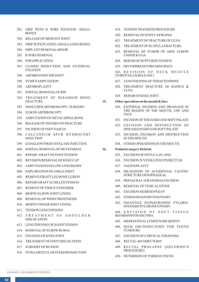- 381. ORIF WITH K WIRE FIXATION- SMALL **BONES**
- 382. RELEASE OF MIDFOOTJOINT
- 383. ORIF WITH PLATING- SMALLLONG BONES
- 384. IMPLANTREMOVALMINOR
- 385. K WIRE REMOVAL
- 386. POPAPPLICATION
- 387. CLOSED REDUCTION AND EXTERNAL FIXATION
- 388. ARTHROTOMY HIP JOINT
- 389. SYME'S AMPUTATION
- 390. ARTHROPLASTY
- 391. PARTIALREMOVALOF RIB
- 392. TREATMENT OF SESAMOID BONE FRACTURE
- 393. SHOULDER ARTHROSCOPY/ SURGERY
- 394. ELBOWARTHROSCOPY
- 395. AMPUTATION OF METACARPALBONE
- 396. RELEASE OF THUMB CONTRACTURE
- 397. INCISION OF FOOTFASCIA
- 398. CALCANEUM SPUR HYDROCORT INJECTION
- 399. GANGLION WRISTHYALASE INJECTION
- 400. PARTIALREMOVALOF METATARSAL
- 401. REPAIR / GRAFTOF FOOTTENDON
- 402. REVISION/REMOVALOF KNEE CAP
- 403. AMPUTATION FOLLOW-UPSURGERY
- 404. EXPLORATION OF ANKLE JOINT
- 405. REMOVE/GRAFTLEG BONE LESION
- 406. REPAIR/GRAFTACHILLES TENDON
- 407. REMOVE OF TISSUE EXPANDER
- 408. BIOPSYELBOWJOINTLINING
- 409. REMOVALOF WRISTPROSTHESIS
- 410. BIOPSYFINGER JOINTLINING
- 411. TENDON LENGTHENING
- 412. TREATMENT OF SHOULDER DISLOCATION
- 413. LENGTHENING OF HAND TENDON
- 414. REMOVALOF ELBOWBURSA
- 415. FIXATION OF KNEE JOINT
- 416. TREATMENTOF FOOTDISLOCATION
- 417. SURGERYOF BUNION
- 418. INTRAARTICULAR STEROID INJECTION
- 419. TENDON TRANSFER PROCEDURE
- 420. REMOVALOF KNEE CAPBURSA
- 421. TREATMENTOF FRACTURE OF ULNA
- 422. TREATMENTOF SCAPULAFRACTURE
- 423. REMOVAL OF TUMOR OF ARM/ ELBOW UNDER RA/GA
- 424. REPAIR OF RUPTURED TENDON
- 425. DECOMPRESS FOREARM SPACE

426. REVISION OF NECK MUSCLE (TORTICOLLIS RELEASE )

- 427. LENGTHENING OF THIGH TENDONS
- 428. TREATMENT FRACTURE OF RADIUS & ULNA
- 429. REPAIR OF KNEE JOINT

#### **15. Other operations on the mouth & face:**

- 430. EXTERNAL INCISION AND DRAINAGE IN THE REGION OF THE MOUTH, JAW AND FACE
- 431. INCISION OF THE HARD AND SOFTPALATE
- 432. EXCISION AND DESTRUCTION OF DISEASED HARD AND SOFT PALATE
- 433. INCISION, EXCISION AND DESTRUCTION IN THE MOUTH
- 434. OTHER OPERATIONS IN THE MOUTH

#### **16. Pediatric surgery Related:**

- 435. EXCISION OF FISTULA-IN-ANO
- 436. EXCISION JUVENILE POLYPS RECTUM
- 437. VAGINOPLASTY
- 438. DILATATION OF ACCIDENTAL CAUSTIC STRICTURE OESOPHAGEAL
- 439. PRESACRALTERATOMAS EXCISION
- 440. REMOVALOF VESICALSTONE
- 441. EXCISION SIGMOID POLYP
- 442. STERNOMASTOID TENOTOMY
- 443. INFANTILE HYPERTROPHIC PYLORIC STENOSIS PYLOROMYOTOMY

444. EXCISION OF SOFT TISSUE RHABDOMYOSARCOMA

- 445. MEDIASTINALLYMPH NODE BIOPSY
- 446. HIGH ORCHIDECTOMY FOR TESTIS **TUMOURS**
- 447. EXCISION OF CERVICALTERATOMA
- 448. RECTAL-MYOMECTOMY
- 449. RECTAL PROLAPSE (DELORME'S PROCEDURE)
- 450. DETORSION OF TORSION TESTIS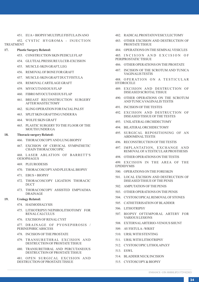451. EUA+ BIOPSYMULTIPLE FISTULAIN ANO

452. CYSTIC HYGROMA - INJECTION TREATMENT

# **17. Plastic Surgery Related:**

- 453. CONSTRUCTION SKIN PEDICLE FLAP
- 454. GLUTEALPRESSURE ULCER-EXCISION
- 455. MUSCLE-SKIN GRAFT, LEG
- 456. REMOVALOF BONE FOR GRAFT
- 457. MUSCLE-SKIN GRAFTDUCTFISTULA
- 458. REMOVALCARTILAGE GRAFT
- 459. MYOCUTANEOUS FLAP
- 460. FIBRO MYOCUTANEOUS FLAP
- 461. BREAST RECONSTRUCTION SURGERY AFTER MASTECTOMY
- 462. SLING OPERATION FOR FACIALPALSY
- 463. SPLITSKIN GRAFTING UNDER RA
- 464. WOLFE SKIN GRAFT
- 465. PLASTIC SURGERY TO THE FLOOR OF THE MOUTH UNDER GA

#### **18. Thoracic surgery Related:**

- 466. THORACOSCOPYAND LUNG BIOPSY
- 467. EXCISION OF CERVICAL SYMPATHETIC CHAIN THORACOSCOPIC

468. LASER ABLATION OF BARRETT'S OESOPHAGUS

- 469. PLEURODESIS
- 470. THORACOSCOPYAND PLEURALBIOPSY
- 471. EBUS + BIOPSY
- 472. THORACOSCOPY LIGATION THORACIC DUCT
- 473. THORACOSCOPY ASSISTED EMPYAEMA DRAINAGE

# **19. Urology Related:**

- 474. HAEMODIALYSIS
- 475. LITHOTRIPSY/NEPHROLITHOTOMY FOR RENALCALCULUS
- 476. EXCISION OF RENALCYST

477. DRAINAGE OF PYONEPHROSIS / PERINEPHRIC ABSCESS

- 478. INCISION OF THE PROSTATE
- 479. TRANSURETHRAL EXCISION AND DESTRUCTION OF PROSTATE TISSUE
- 480. TRANSURETHRAL AND PERCUTANEOUS DESTRUCTION OF PROSTATE TISSUE
- 481. OPEN SURGICAL EXCISION AND DESTRUCTION OF PROSTATE TISSUE
- 482. RADICALPROSTATOVESICULECTOMY
- 483. OTHER EXCISION AND DESTRUCTION OF PROSTATE TISSUE
- 484. OPERATIONS ON THE SEMINALVESICLES

485. INCISION AND EXCISION OF PERIPROSTATIC TISSUE

- 486. OTHER OPERATIONS ON THE PROSTATE
- 487. INCISION OF THE SCROTUM AND TUNICA VAGINALIS TESTIS

488. OPERATION ON A TESTICULAR **HYDROCELE** 

- 489. EXCISION AND DESTRUCTION OF DISEASED SCROTALTISSUE
- 490. OTHER OPERATIONS ON THE SCROTUM AND TUNICAVAGINALIS TESTIS
- 491. INCISION OF THE TESTES
- 492. EXCISION AND DESTRUCTION OF DISEASED TISSUE OF THE TESTES
- 493. UNILATERALORCHIDECTOMY
- 494. BILATERALORCHIDECTOMY
- 495. SURGICAL REPOSITIONING OF AN ABDOMINALTESTIS
- 496. RECONSTRUCTION OF THE TESTIS
- 497. IMPLANTATION, EXCHANGE AND REMOVALOF ATESTICULAR PROSTHESIS
- 498. OTHER OPERATIONS ON THE TESTIS
- 499. EXCISION IN THE AREA OF THE EPIDIDYMIS
- 500. OPERATIONS ON THE FORESKIN
- 501. LOCAL EXCISION AND DESTRUCTION OF DISEASED TISSUE OF THE PENIS
- 502. AMPUTATION OF THE PENIS
- 503. OTHER OPERATIONS ON THE PENIS
- 504. CYSTOSCOPICALREMOVALOF STONES
- 505. CATHETERISATION OF BLADDER
- 506. LITHOTRIPSY
- 507. BIOPSY OFTEMPORAL ARTERY FOR VARIOUS LESIONS
- 508. EXTERNALARTERIO-VENOUS SHUNT
- 509. AVFISTULA- WRIST
- 510. URSLWITH STENTING
- 511. URSLWITH LITHOTRIPSY
- 512. CYSTOSCOPIC LITHOLAPAXY
- 513. ESWL
- 514. BLADDER NECK INCISION
- 515. CYSTOSCOPY& BIOPSY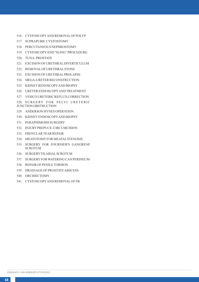- 516. CYSTOSCOPYAND REMOVALOF POLYP
- 517. SUPRAPUBIC CYSTOSTOMY
- 518. PERCUTANEOUS NEPHROSTOMY
- 519. CYSTOSCOPYAND "SLING" PROCEDURE.
- 520. TUNA- PROSTATE
- 521. EXCISION OF URETHRALDIVERTICULUM
- 522. REMOVALOF URETHRALSTONE
- 523. EXCISION OF URETHRALPROLAPSE
- 524. MEGA-URETER RECONSTRUCTION
- 525. KIDNEYRENOSCOPYAND BIOPSY
- 526. URETER ENDOSCOPYAND TREATMENT
- 527. VESICO URETERIC REFLUX CORRECTION

528. SURGERY FOR PELVI URETERIC JUNCTION OBSTRUCTION

- 529. ANDERSON HYNES OPERATION
- 530. KIDNEYENDOSCOPYAND BIOPSY
- 531. PARAPHIMOSIS SURGERY
- 532. INJURYPREPUCE- CIRCUMCISION
- 533. FRENULAR TEAR REPAIR
- 534. MEATOTOMYFOR MEATALSTENOSIS
- 535. SURGERY FOR FOURNIER'S GANGRENE SCROTUM
- 536. SURGERYFILARIALSCROTUM
- 537. SURGERYFOR WATERING CAN PERINEUM
- 538. REPAIR OF PENILE TORSION
- 539. DRAINAGE OF PROSTATE ABSCESS
- 540. ORCHIECTOMY
- 541. CYSTOSCOPYAND REMOVALOF FB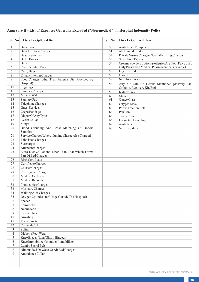# **Annexure II - List of Expenses Generally Excluded ("Non-medical") in Hospital Indemnity Policy**

|                         | Sr. No. List - I - Optional Item                                         | Sr. No. | List - I - Optional Item                            |
|-------------------------|--------------------------------------------------------------------------|---------|-----------------------------------------------------|
| $\mathbf{1}$            | <b>Baby Food</b>                                                         | 50      | Ambulance Equipment                                 |
| $\overline{2}$          | <b>Baby Utilities Charges</b>                                            | 51      | Abdominal Binder                                    |
| $\overline{\mathbf{3}}$ | <b>Beauty Services</b>                                                   | 52      | Private Nurses Charges- Special Nursing Charges     |
| $\overline{4}$          | <b>Belts/Braces</b>                                                      | 53      | <b>Sugar Free Tablets</b>                           |
| 5                       | <b>Buds</b>                                                              | 54      | Creams Powders Lotions (toiletries Are Not Payable, |
| 6                       | Cold Pack/hot Pack                                                       |         | Only Prescribed Medical Pharmaceuticals Payable)    |
| $\tau$                  | Carry Bags                                                               | 55      | Ecg Electrodes                                      |
| 8                       | Email / Internet Charges                                                 | 56      | Gloves                                              |
| 9                       | Food Charges (other Than Patient's Diet Provided By                      | 57      | Nebulisation Kit                                    |
|                         | Hospital)                                                                | 58      | Any Kit With No Details Mentioned [delivery Kit,    |
| 10                      | Leggings                                                                 |         | Orthokit, Recovery Kit, Etc]                        |
| 11                      | Laundry Charges                                                          | 59      | Kidney Tray                                         |
| 12                      | Mineral Water                                                            | 60      | Mask                                                |
| 13                      | Sanitary Pad                                                             | 61      | <b>Ounce Glass</b>                                  |
| 14                      | <b>Telephone Charges</b>                                                 | 62      | Oxygen Mask                                         |
| $\overline{15}$         | <b>Guest Services</b>                                                    | 63      | Pelvic Traction Belt                                |
| 16                      | Crepe Bandage                                                            | 64      | Pan Can                                             |
| 17                      | Diaper Of Any Type                                                       | 65      | <b>Trolly Cover</b>                                 |
| 18                      | Eyelet Collar                                                            | 66      | Urometer, Urine Jug                                 |
| 19                      | Slings                                                                   | 67      | Ambulance                                           |
| 20                      | Blood Grouping And Cross Matching Of Donors                              | 68      | Vasofix Safety                                      |
|                         | Samples                                                                  |         |                                                     |
| $\overline{21}$         | Service Charges Where Nursing Charge Also Charged                        |         |                                                     |
| $\overline{22}$         | <b>Television Charges</b>                                                |         |                                                     |
| 23                      | Surcharges                                                               |         |                                                     |
| 24                      | <b>Attendant Charges</b>                                                 |         |                                                     |
| 25                      | Extra Diet Of Patient (other Than That Which Forms                       |         |                                                     |
|                         | Part Of Bed Charge)                                                      |         |                                                     |
| 26                      | <b>Birth Certificate</b>                                                 |         |                                                     |
| 27                      | Certificate Charges                                                      |         |                                                     |
| 28                      | Courier Charges                                                          |         |                                                     |
| 29                      | Conveyance Charges                                                       |         |                                                     |
| 30                      | Medical Certificate                                                      |         |                                                     |
| 31                      | Medical Records                                                          |         |                                                     |
| 32                      | Photocopies Charges                                                      |         |                                                     |
| 33                      | Mortuary Charges                                                         |         |                                                     |
| 34                      | <b>Walking Aids Charges</b>                                              |         |                                                     |
| 35                      | Oxygen Cylinder (for Usage Outside The Hospital)                         |         |                                                     |
| 36                      | Spacer                                                                   |         |                                                     |
| 37                      | Spirometre                                                               |         |                                                     |
| 38                      | Nebulizer Kit                                                            |         |                                                     |
| 39                      | Steam Inhaler                                                            |         |                                                     |
| 40                      | Armsling                                                                 |         |                                                     |
| 41                      | Thermometer                                                              |         |                                                     |
| 42                      | Cervical Collar                                                          |         |                                                     |
| 43                      |                                                                          |         |                                                     |
| 44                      | Splint<br>Diabetic Foot Wear                                             |         |                                                     |
| 45                      |                                                                          |         |                                                     |
| 46                      | Knee Braces (long/Short/Hinged)<br>Knee Immobilizer/shoulder Immobilizer |         |                                                     |
| 47                      |                                                                          |         |                                                     |
|                         | Lumbo Sacral Belt                                                        |         |                                                     |
| 48                      | Nimbus Bed Or Water Or Air Bed Charges                                   |         |                                                     |
| 49                      | Ambulance Collar                                                         |         |                                                     |
|                         |                                                                          |         |                                                     |
|                         |                                                                          |         |                                                     |
|                         |                                                                          |         |                                                     |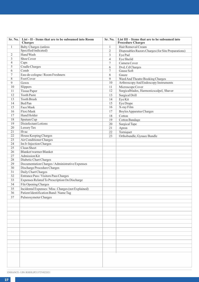| Sr. No.         | List - II - Items that are to be subsumed into Room<br><b>Charges</b> | Sr. No.        | List III - Items that are to be subsumed into<br><b>Procedure Charges</b> |
|-----------------|-----------------------------------------------------------------------|----------------|---------------------------------------------------------------------------|
| $\mathbf{1}$    | <b>Baby Charges (unless</b>                                           | $\mathbf{1}$   | Hair Removal Cream                                                        |
|                 | Specified/indicated)                                                  | $\overline{c}$ | Disposables Razors Charges (for Site Preparations)                        |
| $\overline{c}$  | Hand Wash                                                             | 3              | Eye Pad                                                                   |
| 3               | Shoe Cover                                                            | $\overline{4}$ | Eye Sheild                                                                |
| $\overline{4}$  | Caps                                                                  | $\overline{7}$ | Camera Cover                                                              |
| 5               | <b>Cradle Charges</b>                                                 | 6              | Dvd, Cd Charges                                                           |
| 6               | Comb                                                                  | 7              | Gause Soft                                                                |
| $\tau$          | Eau-de-cologne / Room Freshners                                       | 8              | Gauze                                                                     |
| $\overline{8}$  | Foot Cover                                                            | 9              | Ward And Theatre Booking Charges                                          |
| 9               | Gown                                                                  | 10             | Arthroscopy And Endoscopy Instruments                                     |
| 10              | Slippers                                                              | 11             | Microscope Cover                                                          |
| 11              | <b>Tissue Paper</b>                                                   | 12             | Surgicalblades, Harmonicscalpel, Shaver                                   |
| 12              | <b>Tooth Paste</b>                                                    | 13             | Surgical Drill                                                            |
| 13              | <b>Tooth Brush</b>                                                    | 14             | Eye Kit                                                                   |
| 14              | Bed Pan                                                               | 15             | Eye Drape                                                                 |
| 15              | Face Mask                                                             | 16             | X-ray Film                                                                |
| 16              | Flexi Mask                                                            | 17             | <b>Boyles Apparatus Charges</b>                                           |
| 17              | Hand Holder                                                           | 18             | Cotton                                                                    |
| 18              | Sputum Cup                                                            | 19             | Cotton Bandage                                                            |
| 19              | Disinfectant Lotions                                                  | 20             | Surgical Tape                                                             |
| 20              | Luxury Tax                                                            | 21             | Apron                                                                     |
| $\overline{21}$ | Hvac                                                                  | 22             | Torniquet                                                                 |
| 22              | House Keeping Charges                                                 | 23             | Orthobundle, Gynaec Bundle                                                |
| $\overline{23}$ | Air Conditioner Charges                                               |                |                                                                           |
| 24              | Im Iv Injection Charges                                               |                |                                                                           |
| 25              | Clean Sheet                                                           |                |                                                                           |
| $\overline{26}$ | Blanket/warmer Blanket                                                |                |                                                                           |
| 27              | Admission Kit                                                         |                |                                                                           |
| 28              | Diabetic Chart Charges                                                |                |                                                                           |
| 29              | Documentation Charges / Administrative Expenses                       |                |                                                                           |
| 30              | Discharge Procedure Charges                                           |                |                                                                           |
| 31              | Daily Chart Charges                                                   |                |                                                                           |
| 32              | Entrance Pass / Visitors Pass Charges                                 |                |                                                                           |
| 33              | Expenses Related To Prescription On Discharge                         |                |                                                                           |
| 34              | File Opening Charges                                                  |                |                                                                           |
| $\overline{35}$ | Incidental Expenses / Misc. Charges (not Explained)                   |                |                                                                           |
| 36              | Patient Identification Band / Name Tag                                |                |                                                                           |
| 37              | Pulseoxymeter Charges                                                 |                |                                                                           |
|                 |                                                                       |                |                                                                           |
|                 |                                                                       |                |                                                                           |
|                 |                                                                       |                |                                                                           |
|                 |                                                                       |                |                                                                           |
|                 |                                                                       |                |                                                                           |
|                 |                                                                       |                |                                                                           |
|                 |                                                                       |                |                                                                           |
|                 |                                                                       |                |                                                                           |
|                 |                                                                       |                |                                                                           |
|                 |                                                                       |                |                                                                           |
|                 |                                                                       |                |                                                                           |
|                 |                                                                       |                |                                                                           |
|                 |                                                                       |                |                                                                           |
|                 |                                                                       |                |                                                                           |
|                 |                                                                       |                |                                                                           |
|                 |                                                                       |                |                                                                           |

ENHANCE - UIN: RHIHLIP21372V022021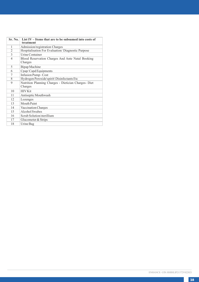| Sr. No.                 | List $IV -$ Items that are to be subsumed into costs of<br>treatment |
|-------------------------|----------------------------------------------------------------------|
| 1                       | Admission/registration Charges                                       |
| $\overline{2}$          | Hospitalisation For Evaluation/Diagnostic Purpose                    |
| 3                       | <b>Urine Container</b>                                               |
| $\overline{4}$          | Blood Reservation Charges And Ante Natal Booking<br>Charges          |
| 5                       | Bipap Machine                                                        |
| 6                       | Cpap/Capd Equipments                                                 |
| 7                       | Infusion Pump-Cost                                                   |
| $\overline{\mathbf{x}}$ | Hydrogen Peroxide\spirit\ Disinfectants Etc                          |
| 9                       | Nutrition Planning Charges - Dietician Charges- Diet<br>Charges      |
| 10                      | <b>HIV Kit</b>                                                       |
| 11                      | Antiseptic Mouthwash                                                 |
| 12                      | Lozenges                                                             |
| 13                      | Mouth Paint                                                          |
| 14                      | Vaccination Charges                                                  |
| 15                      | Alcohol Swabes                                                       |
| 16                      | Scrub Solution/sterillium                                            |
| 17                      | Glucometer & Strips                                                  |
| 18                      | Urine Bag                                                            |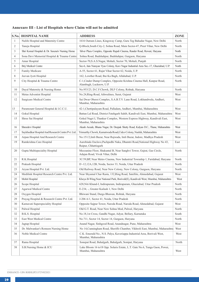# **Annexure III - List of Hospitals where Claim will not be admitted**

|                | S.No. HOSPITAL NAME                               | <b>ADDRESS</b>                                                                                           | <b>ZONE</b> |
|----------------|---------------------------------------------------|----------------------------------------------------------------------------------------------------------|-------------|
| $\mathbf{1}$   | Nulife Hospital and Maternity Centre              | 1616 Outram Lines, Kingsway Camp, Guru Teg Bahadur Nagar, New Delhi                                      | North       |
| $\overline{c}$ | Taneja Hospital                                   | Q-Block, South City-2, Sohna Road, Main Sector-47, Preet Vihar, New Delhi                                | North       |
| 3              | Shri Komal Hospital & Dr. Saxena's Nursing Home   | Silver Plaza Complex, Opposite Rupali Cinema, Rander Road, Rewari, Haryana                               | North       |
| $\overline{4}$ | Sona Devi Memorial Hospital & Trauma Centre       | Sohna Road, Badshahpur, Badshahpur, Gurgaon, Haryana                                                     | North       |
| 5              | Amar Hospital                                     | Sector-70, S.A.S.Nagar, Mohali, Sector 70, Mohali, Punjab                                                | North       |
| 6              | Brij Medical Centre                               | Sec-6, Jain Narayan Vyas Colony, Kavi Nagar Industrial Area Sec.-17, Ghaziabad, U.P.                     | North       |
| $\tau$         | Famliy Medicare                                   | A-55, Sector 61, Rajat Vihar Sector 62, Noida, U.P.                                                      | North       |
| 8              | Jeevan Jyoti Hospital                             | 162, Lowther Road, Bai Ka Bagh, Allahabad, U.P.                                                          | North       |
| 9              | City Hospital & Trauma Centre                     | C-1, Cinder Dump Complex, Opposite Krishna Cinema Hall, Kanpur Road,<br>Alambagh, Lucknow, U.P.          | North       |
| 10             | Dayal Maternity & Nursing Home                    | No.953/23, D.C.F.Chowk, DLF Colony, Rohtak, Haryana                                                      | North       |
| 11             | Metas Adventist Hospital                          | No.24, Ring-Road, Athwalines, Surat, Gujarat                                                             | West        |
| 12             | <b>Surgicare Medical Centre</b>                   | Sai Dwar Oberoi Complex, S.A.B.T.V. Lane Road, Lokhandwala, Andheri,<br>Mumbai, Maharashtra              | West        |
| 13             | Paramount General Hospital & I.C.C.U.             | 42-1, Chettipalayam Road, Palladam, Andheri, Mumbai, Maharashtra                                         | West        |
| 14             | Gokul Hospital                                    | Battan Lal Road, District Fatehgarh Sahib, Kandivali East, Mumbai, Maharashtra                           | West        |
| 15             | Shree Sai Hospital                                | Gokul Nagri I, Thankur Complex, Western Express Highway, Kandivali East,<br>Mumbai, Maharashtra          | West        |
| 16             | Shreedevi Hospital                                | Akash Arcade, Bhanu Nagar, Dr. Deepak Shetty Road, Kalyan D.C., Thane, Maharashtra                       | West        |
| 17             | Saykhedkar Hospital And Research Centre Pvt. Ltd. | Trimurthy Chowk, Kamatwada Road, Cidco Colony, Nashik, Maharashtra                                       | West        |
| 18             | Arpan Hospital And Research Centre                | No.151/2,Imli Bazar, Near Rajwada, Imli Bazar, Indore, Madhya Pradesh                                    | West        |
| 19             | Ramkrishna Care Hospital                          | Aurobindo Enclave, Pachpedhi Naka, Dhamtri Road, National Highway No 43,<br>Raipur, Chhattisgarh         | East        |
| 20             | Gupta Multispeciality Hospital                    | Mezzanine Floor, Shakuntal B, Near Sanghvi Tower, Gujrat, Gas Circle,<br>Adajan Road, Vivek Vihar, Delhi | North       |
| 21             | R.K.Hospital                                      | 3C/59, BP, Near Metro Cinema, New Industrial Township 1, Faridabad, Haryana                              | North       |
| 22             | Prakash Hospital                                  | D-12,12A,12B, Noida, Sector 33, Noida, Uttar Pradesh                                                     | North       |
| 23             | Aryan Hospital Pvt. Ltd.                          | Old Railway Road, Near New Colony, New Colony, Gurgaon, Haryana                                          | North       |
| 24             | Medilink Hospital Research Centre Pvt. Ltd.       | Near Shyamal Char Rasta, 132, Ring Road, Satellite, Ahmedabad, Gujarat                                   | West        |
| 25             | Mohit Hospital                                    | Khoya B-Wing, Near National Park, Borivali(E), Kandivali West, Mumbai, Maharashtra                       | West        |
| 26             | Scope Hospital                                    | 628, Niti Khand-I, Indirapuram, Indirapuram, Ghaziabad, Uttar Pradesh                                    | North       |
| 27             | Agarwal Medical Centre                            | E-234, -, Greater Kailash 1, New Delhi                                                                   | North       |
| 28             | Oxygen Hospital                                   | Bhiwani Stand, Durga Bhawan, Rohtak, Haryana                                                             | North       |
| 29             | Prayag Hospital & Research Centre Pvt. Ltd.       | J-206 A/1, Sector 41, Noida, Uttar Pradesh                                                               | North       |
| 30             | Karnavati Superspeciality Hospital                | Opposite Sajpur Tower, Naroda Road, Naroda Road, Ahmedabad, Gujarat                                      | West        |
| 31             | Palwal Hospital                                   | Old G.T. Road, Near New Sohna Mod, Palwal, Haryana                                                       | North       |
| 32             | B.K.S. Hospital                                   | No.18,1st Cross, Gandhi Nagar, Adyar, Bellary, Karnataka                                                 | South       |
| 33             | East West Medical Centre                          | No.711, Sector 14, Sector 14, Gurgaon, Haryana                                                           | North       |
| 34             | Jagtap Hospital                                   | Anand Nagar, Sinhgood Road, Anandnagar, Pune, Maharashtra                                                | West        |
| 35             | Dr. Malwankar's Romeen Nursing Home               | No 14, Cunningham Road, Sheriffs Chamber, Vikhroli East, Mumbai, Maharashtra                             | West        |
| 36             | Noble Medical Centre                              | C.K. Emerald No., N.S. Palya, Kaveriappa Industrial Area, Borivali West,<br>Mumbai, Maharashtra          | West        |
| 37             | Rama Hospital                                     | Sonepat Road, Bahalgarh, Bahalgarh, Sonipat, Haryana                                                     | North       |
| 38             | S.B.Nursing Home & ICU                            | Lake Bloom 16 to18 Opp. Solaris Estate, L.T. Gate No.6, Tunga Gaon, Powai,<br>Mumbai, Maharashtra        | West        |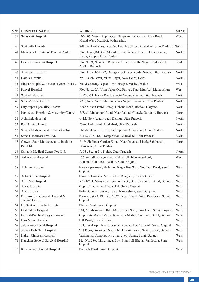|          | S.No. HOSPITAL NAME                                           | <b>ADDRESS</b>                                                                                                                | ZONE         |
|----------|---------------------------------------------------------------|-------------------------------------------------------------------------------------------------------------------------------|--------------|
| 39       | Saraswati Hospital                                            | 103-106, Vrurel Appt., Opp. Navjivan Post Office, Ajwa Road,<br>Malad West, Mumbai, Maharashtra                               | West         |
| 40       | Shakuntla Hospital                                            | 3-B Tashkant Marg, Near St. Joseph Collage, Allahabad, Uttar Pradesh                                                          | North        |
| 41       | Mahaveer Hospital & Trauma Centre                             | Plot No-25, B/H Old Mount Carmel School, Near Lokmat Square,<br>Panki, Kanpur, Uttar Pradesh                                  | North        |
| 42       | Eashwar Lakshmi Hospital                                      | Plot No. 9, Near Sub Registrar Office, Gandhi Nagar, Hyderabad,<br>Andhra Pradesh                                             | South        |
| 43       | Amrapali Hospital                                             | Plot No. NH-34, P-2, Omega -1, Greater Noida, Noida, Uttar Pradesh                                                            | North        |
| 44       | Hardik Hospital                                               | 29C, Budh Bazar, Vikas Nagar, New Delhi, Delhi                                                                                | North        |
| 45       | Jabalpur Hospital & Research Centre Pvt. Ltd.                 | Russel Crossing, Naptier Town, Jabalpur, Madhya Pradesh                                                                       | West         |
| 46       | Panvel Hospital                                               | Plot No. 260A, Uran Naka, Old Panvel, Navi Mumbai, Maharashtra                                                                | West         |
| 47       | Santosh Hospital                                              | L-629/631, Hapur Road, Shastri Nagar, Meerut, Uttar Pradesh                                                                   | North        |
| 48       | Sona Medical Centre                                           | 5/58, Near Police Station, Vikas Nagar, Lucknow, Uttar Pradesh                                                                | North        |
| 49       | City Super Speciality Hospital                                | Near Mohan Petrol Pump, Gohana Road, Rohtak, Haryana                                                                          | North        |
| 50       | Navjeevan Hospital & Maternity Centre                         | 753/21, Madanpuri Road, Near Pataudi Chowk, Gurgaon, Haryana                                                                  | North        |
| 51       | Abhishek Hospital                                             | C-12, New Azad Nagar, Kanpur, Uttar Pradesh                                                                                   | North        |
| 52       | Raj Nursing Home                                              | 23-A, Park Road, Allahabad, Uttar Pradesh                                                                                     | North        |
| 53       | Sparsh Medicare and Trauma Centre                             | Shakti Khand - III/54, Indirapuram, Ghaziabad, Uttar Pradesh                                                                  | North        |
| 54       | Saras Healthcare Pvt. Ltd.                                    | K-112, SEC-12, Pratap Vihar, Ghaziabad, Uttar Pradesh                                                                         | North        |
| 55       | Getwell Soon Multispeciality Institute<br>Pvt. Ltd.           | S-19, Shalimar Garden Extn., Near Dayanand Park, Sahibabad,<br>Ghaziabad, Uttar Pradesh                                       | North        |
| 56       | Shivalik Medical Centre Pvt. Ltd.                             | A-93, Sector 34, Noida, Uttar Pradesh                                                                                         | North        |
| 57       | Aakanksha Hospital                                            | 126, Aaradhnanagar Soc., B/H. Bhulkabhavan School,<br>Aanand-Mahal Rd., Adajan, Surat, Gujarat                                | West         |
| 58       | Abhinay Hospital                                              | Harsh Apartment, Nr Jamna Nagar Bus Stop, God Dod Road, Surat,<br>Gujarat                                                     | West         |
| 59       | Adhar Ortho Hospital                                          | Dawer Chambers, Nr. Sub Jail, Ring Rd., Surat, Gujarat                                                                        | West         |
| 60       | Aris Care Hospital                                            | A 223-224, Mansarovar Soc, 60 Feet, Godadara Road, Surat, Gujarat                                                             | West         |
| 61       | Arzoo Hospital                                                | Opp. L.B. Cinema, Bhatar Rd., Surat, Gujarat                                                                                  | West         |
| 62       | Auc Hospital                                                  | B-44 Gujarat Housing Board , Nandeshara, Surat, Gujarat                                                                       | West         |
| 63       | Dharamjivan General Hospital &<br>Trauma Centre               | Karmayogi - 1, Plot No. 20/21, Near Piyush Point, Pandesara, Surat,<br>Gujarat                                                | West         |
| 64       | Dr. Santosh Basotia Hospital                                  | Bhatar Road, Surat, Gujarat                                                                                                   | West         |
| 65       | God Father Hospital                                           | 344, Nandvan Soc., B/H. Matrushakti Soc., Puna Gam, Surat, Gujarat                                                            | West         |
| 66       | Govind-Prabha Arogya Sankool                                  | Opp. Ratna-Sagar Vidhyalaya, Kaji Medan, Gopipura, Surat, Gujarat                                                             | West         |
| 67       | Hari Milan Hospital                                           | L H Road, Surat, Gujarat                                                                                                      | West         |
| 68       | Jaldhi Ano-Rectal Hospital                                    | 103, Payal Apt., Nxt To Rander Zone Office, Tadwadi, Surat, Gujarat                                                           | West         |
| 69       | Jeevan Path Gen. Hospital                                     | 2nd Floor, Dwarkesh Nagri, Nr. Laxmi Farsan, Sayan, Surat, Gujarat                                                            | West<br>West |
| 70<br>71 | Kalrav Children Hospital<br>Kanchan General Surgical Hospital | Yashkamal Complex, Nr. Jivan Jyot, Udhna, Surat, Gujarat<br>Plot No. 380, Ishwarnagar Soc, Bhamroli-Bhatar, Pandesara, Surat, | West         |
|          |                                                               | Gujarat                                                                                                                       |              |
|          | 72   Krishnavati General Hospital                             | Bamroli Road, Surat, Gujarat                                                                                                  | West         |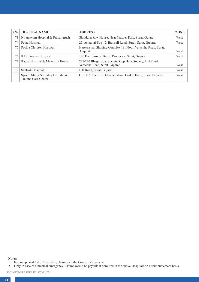|    | <b>S.No. HOSPITAL NAME</b>                              | <b>ADDRESS</b>                                                                           | <b>ZONE</b> |
|----|---------------------------------------------------------|------------------------------------------------------------------------------------------|-------------|
| 73 | Niramayam Hosptial & Prasutigruah                       | Shraddha Raw House, Near Natures Park, Surat, Gujarat                                    | West        |
| 74 | Patna Hospital                                          | 25, Ashapuri Soc - 2, Bamroli Road, Surat, Surat, Gujarat                                | West        |
| 75 | Poshia Children Hospital                                | Harekrishan Shoping Complex 1St Floor, Varachha Road, Surat,<br>Gujarat                  | West        |
| 76 | R.D. Janseva Hospital                                   | 120 Feet Bamroli Road, Pandesara, Surat, Gujarat                                         | West        |
| 77 | Radha Hospital & Maternity Home                         | 239/240 Bhagunagar Society, Opp Hans Society, L H Road,<br>Varachha Road, Surat, Gujarat | West        |
| 78 | Santosh Hospital                                        | L H Road, Surat, Gujarat                                                                 | West        |
| 79 | Sparsh Multy Specality Hospital &<br>Trauma Care Center | G.I.D.C Road, Nr Udhana Citizan Co-Op.Bank, Surat, Gujarat                               | West        |

**Notes:**

<sup>1.</sup> For an updated list of Hospitals, please visit the Company's website. 2. Only in case of a medical emergency, Claims would be payable if admitted in the above Hospitals on a reimbursement basis.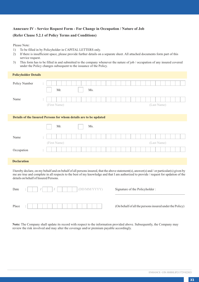## **Annexure IV - Service Request Form - For Change in Occupation / Nature of Job**

#### **(Refer Clause 5.2.1 of Policy Terms and Conditions)**

Please Note:

- 1) To be filled in by Policyholder in CAPITAL LETTERS only.
- 2) If there is insufficient space, please provide further details on a separate sheet. All attached documents form part of this service request.
- 3) This form has to be filled in and submitted to the company whenever the nature of job / occupation of any insured covered under the Policy changes subsequent to the issuance of the Policy.

| <b>Policyholder Details</b> |                                                                   |
|-----------------------------|-------------------------------------------------------------------|
| Policy Number               | :<br>Mr.<br>Ms.                                                   |
| Name                        | $\ddot{\cdot}$<br>(First Name)<br>(Last Name)                     |
|                             | Details of the Insured Persons for whom details are to be updated |
|                             |                                                                   |
|                             | Mr.<br>Ms.                                                        |
| Name                        | $\ddot{\phantom{a}}$                                              |
|                             | (First Name)<br>(Last Name)                                       |
| Occupation                  | $\ddot{\phantom{a}}$                                              |

I hereby declare, on my behalf and on behalf of all persons insured, that the above statement(s), answer(s) and / or particular(s) given by me are true and complete in all respects to the best of my knowledge and that I am authorized to provide / request for updation of the details on behalf of Insured Persons.

| Date  | ٠<br>٠ | (DD/MM/YYYY) |  |
|-------|--------|--------------|--|
|       |        |              |  |
| Place | ٠<br>٠ |              |  |

Signature of the Policyholder :

(On behalf of all the persons insured under the Policy)

\_\_\_\_\_\_\_\_\_\_\_\_\_\_\_\_\_\_\_\_\_\_\_\_\_\_\_\_\_\_\_\_\_\_\_\_\_\_\_\_\_\_

**Note:** The Company shall update its record with respect to the information provided above. Subsequently, the Company may review the risk involved and may alter the coverage and/or premium payable accordingly.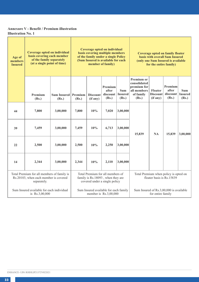# **Annexure V - Benefit / Premium illustration Illustration No. 1**

| Age of<br>members<br><b>Insured</b> | Coverage opted on individual<br>basis covering each member<br>of the family separately<br>(at a single point of time) |                             | Coverage opted on individual<br>basis covering multiple members<br>of the family under a single Policy<br>(Sum Insured is available for each<br>member of family) |                                                                                                        |                                       | Coverage opted on family floater<br>basis with overall Sum Insured<br>(only one Sum Insured is available<br>for the entire family) |                                                                                       |                                        |                                       |                                 |
|-------------------------------------|-----------------------------------------------------------------------------------------------------------------------|-----------------------------|-------------------------------------------------------------------------------------------------------------------------------------------------------------------|--------------------------------------------------------------------------------------------------------|---------------------------------------|------------------------------------------------------------------------------------------------------------------------------------|---------------------------------------------------------------------------------------|----------------------------------------|---------------------------------------|---------------------------------|
|                                     | Premium<br>(Rs.)                                                                                                      | <b>Sum Insured</b><br>(Rs.) | Premium<br>(Rs.)                                                                                                                                                  | <b>Discount</b><br>(if any)                                                                            | Premium<br>after<br>discount<br>(Rs.) | <b>Sum</b><br><b>Insured</b><br>(Rs.)                                                                                              | <b>Premium or</b><br>consolidated<br>premium for<br>all members<br>of family<br>(Rs.) | Floater<br><b>Discount</b><br>(if any) | Premium<br>after<br>discount<br>(Rs.) | Sum-<br><b>Insured</b><br>(Rs.) |
| 44                                  | 7,800                                                                                                                 | 3,00,000                    | 7,800                                                                                                                                                             | 10%                                                                                                    | 7,020                                 | 3,00,000                                                                                                                           |                                                                                       |                                        |                                       |                                 |
| 39                                  | 7,459                                                                                                                 | 3,00,000                    | 7,459                                                                                                                                                             | 10%                                                                                                    | 6,713                                 | 3,00,000                                                                                                                           | 15,839                                                                                | NA                                     | 15,839                                | 3,00,000                        |
| 22                                  | 2,500                                                                                                                 | 3,00,000                    | 2,500                                                                                                                                                             | 10%                                                                                                    | 2,250                                 | 3,00,000                                                                                                                           |                                                                                       |                                        |                                       |                                 |
| 14                                  | 2,344                                                                                                                 | 3,00,000                    | 2,344                                                                                                                                                             | 10%                                                                                                    | 2.110                                 | 3,00,000                                                                                                                           |                                                                                       |                                        |                                       |                                 |
|                                     | Total Premium for all members of family is<br>Rs.20103, when each member is covered<br>separately.                    |                             |                                                                                                                                                                   | Total Premium for all members of<br>family is Rs.18093, when they are<br>covered under a single policy |                                       |                                                                                                                                    | Total Premium when policy is opted on<br>floater basis is Rs.15839                    |                                        |                                       |                                 |
|                                     | Sum Insured available for each individual<br>is Rs.3,00,000                                                           |                             |                                                                                                                                                                   | Sum Insured available for each family<br>member is Rs.3,00,000                                         |                                       |                                                                                                                                    | Sum Insured of Rs.3,00,000 is available                                               | for entire family                      |                                       |                                 |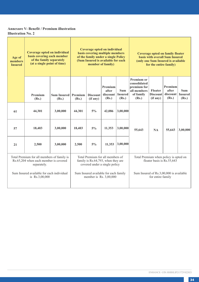# **Annexure V- Benefit / Premium illustration Illustration No. 2**

| Age of<br>members<br><b>Insured</b>                                                                | Coverage opted on individual<br>basis covering each member<br>of the family separately<br>(at a single point of time) |                              | Coverage opted on individual<br>basis covering multiple members<br>of the family under a single Policy<br>(Sum Insured is available for each<br>member of family) |                             |                                                                   | <b>Coverage opted on family floater</b><br>basis with overall Sum Insured<br>(only one Sum Insured is available<br>for the entire family) |                                                                                       |                                        |                                                                     |                                 |
|----------------------------------------------------------------------------------------------------|-----------------------------------------------------------------------------------------------------------------------|------------------------------|-------------------------------------------------------------------------------------------------------------------------------------------------------------------|-----------------------------|-------------------------------------------------------------------|-------------------------------------------------------------------------------------------------------------------------------------------|---------------------------------------------------------------------------------------|----------------------------------------|---------------------------------------------------------------------|---------------------------------|
|                                                                                                    | Premium<br>(Rs.)                                                                                                      | Sum Insured Premium<br>(Rs.) | (Rs.)                                                                                                                                                             | <b>Discount</b><br>(if any) | Premium<br>after<br>discount<br>(Rs.)                             | Sum.<br><b>Insured</b><br>(Rs.)                                                                                                           | <b>Premium or</b><br>consolidated<br>premium for<br>all members<br>of family<br>(Rs.) | Floater<br><b>Discount</b><br>(if any) | Premium<br>after<br>discount  <br>(Rs.)                             | Sum.<br><b>Insured</b><br>(Rs.) |
| 61                                                                                                 | 44,301                                                                                                                | 3,00,000                     | 44,301                                                                                                                                                            | $5\%$                       | 42,086                                                            | 3,00,000                                                                                                                                  |                                                                                       |                                        |                                                                     |                                 |
| 57                                                                                                 | 18,403                                                                                                                | 3.00.000                     | 18,403                                                                                                                                                            | $5\%$                       | 11.353                                                            | 3,00,000                                                                                                                                  | 55,643                                                                                | <b>NA</b>                              | 55,643                                                              | 3,00,000                        |
| 21                                                                                                 | 2.500                                                                                                                 | 3.00.000                     | 2.500                                                                                                                                                             | $5\%$                       | 11,353                                                            | 3,00,000                                                                                                                                  |                                                                                       |                                        |                                                                     |                                 |
| Total Premium for all members of family is<br>Rs.65,204 when each member is covered<br>separately. |                                                                                                                       |                              | Total Premium for all members of<br>family is Rs.64,793, when they are<br>covered under a single policy                                                           |                             |                                                                   |                                                                                                                                           |                                                                                       |                                        | Total Premium when policy is opted on<br>floater basis is Rs.55,643 |                                 |
|                                                                                                    | Sum Insured available for each individual<br>is Rs.3,00,000                                                           |                              |                                                                                                                                                                   |                             | Sum Insured available for each family<br>member is Rs. $3,00,000$ |                                                                                                                                           | Sum Insured of Rs.3,00,000 is available                                               | for entire family                      |                                                                     |                                 |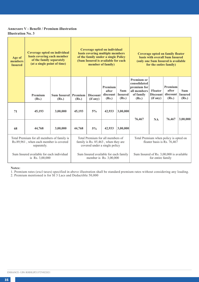## **Annexure V - Benefit / Premium illustration Illustration No. 3**

| Age of<br>members<br><b>Insured</b>                                                                 |                  | Coverage opted on individual<br>Coverage opted on individual<br>basis covering multiple members<br>basis covering each member<br>of the family under a single Policy<br>of the family separately<br>(Sum Insured is available for each<br>(at a single point of time)<br>member of family) |                                                                                                          |                             |                                       | <b>Coverage opted on family floater</b><br><b>hasis with overall Sum Insured</b><br>(only one Sum Insured is available<br>for the entire family) |                                                                                       |                                        |                                         |                                |
|-----------------------------------------------------------------------------------------------------|------------------|--------------------------------------------------------------------------------------------------------------------------------------------------------------------------------------------------------------------------------------------------------------------------------------------|----------------------------------------------------------------------------------------------------------|-----------------------------|---------------------------------------|--------------------------------------------------------------------------------------------------------------------------------------------------|---------------------------------------------------------------------------------------|----------------------------------------|-----------------------------------------|--------------------------------|
|                                                                                                     | Premium<br>(Rs.) | <b>Sum Insured</b><br>(Rs.)                                                                                                                                                                                                                                                                | Premium<br>(Rs.)                                                                                         | <b>Discount</b><br>(if any) | Premium<br>after<br>discount<br>(Rs.) | <b>Sum</b><br><b>Insured</b><br>(Rs.)                                                                                                            | <b>Premium or</b><br>consolidated<br>premium for<br>all members<br>of family<br>(Rs.) | Floater<br><b>Discount</b><br>(if any) | Premium<br>after<br>discount  <br>(Rs.) | Sum<br><b>Insured</b><br>(Rs.) |
| 71                                                                                                  | 45,193           | 3,00,000                                                                                                                                                                                                                                                                                   | 45,193                                                                                                   | $5\%$                       | 42,933                                | 3,00,000                                                                                                                                         |                                                                                       | NA                                     | 76,467                                  | 3,00,000                       |
| 68                                                                                                  | 44,768           | 3,00,000                                                                                                                                                                                                                                                                                   | 44,768                                                                                                   | $5\%$                       | 42,933                                | 3,00,000                                                                                                                                         | 76,467                                                                                |                                        |                                         |                                |
| Total Premium for all members of family is<br>Rs.89,961, when each member is covered<br>separately. |                  |                                                                                                                                                                                                                                                                                            | Total Premium for all members of<br>family is Rs. 85,463, when they are<br>covered under a single policy |                             |                                       | Total Premium when policy is opted on<br>floater basis is Rs. 76,467                                                                             |                                                                                       |                                        |                                         |                                |
| Sum Insured available for each individual<br>is Rs. 3,00,000                                        |                  |                                                                                                                                                                                                                                                                                            | Sum Insured available for each family<br>member is Rs. 3,00,000                                          |                             |                                       | Sum Insured of Rs. 3,00,000 is available<br>for entire family                                                                                    |                                                                                       |                                        |                                         |                                |

**Notes:**

1. Premium rates (excl taxes) specified in above illustration shall be standard premium rates without considering any loading. 2. Premium mentioned is for SI 3 Lacs and Deductible 50,000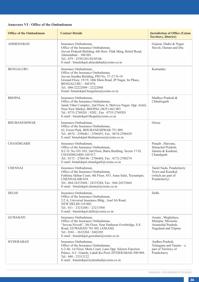# **Annexure VI - Office of the Ombudsman**

| <b>Office of the Ombudsman</b> | <b>Contact Details</b>                                                                                                                                                                                                                                                     | <b>Jurisdiction of Office (Union</b><br><b>Territory, District)</b>                  |
|--------------------------------|----------------------------------------------------------------------------------------------------------------------------------------------------------------------------------------------------------------------------------------------------------------------------|--------------------------------------------------------------------------------------|
| <b>AHMEDABAD</b>               | Insurance Ombudsman.<br>Office of the Insurance Ombudsman,<br>Jeevan Prakash Building, 6th floor, Tilak Marg, Relief Road,<br>Ahmedabad $-380001$ .<br>Tel.: 079 - 25501201/02/05/06<br>E-mail: bimalokpal.ahmedabad@cioins.co.in                                          | Gujarat, Dadra & Nagar<br>Haveli, Daman and Diu                                      |
| <b>BENGALURU</b>               | Insurance Ombudsman.<br>Office of the Insurance Ombudsman,<br>Jeevan Soudha Building, PID No. 57-27-N-19<br>Ground Floor, 19/19, 24th Main Road, JP Nagar, Ist Phase,<br>BENGALURU - 560 078.<br>Tel.: 080-22222049 / 22222048<br>Email: bimalokpal.bengaluru@cioins.co.in | Karnataka                                                                            |
| <b>BHOPAL</b>                  | Insurance Ombudsman.<br>Office of the Insurance Ombudsman,<br>Janak Vihar Complex, 2nd Floor, 6, Malviya Nagar, Opp. Airtel,<br>Near New Market, BHOPAL (M.P.)-462 003.<br>Tel.: 0755-2769201 / 9202, Fax: 0755-2769203<br>E-mail: bimalokpal.bhopal@cioins.co.in          | Madhya Pradesh &<br>Chhattisgarh                                                     |
| <b>BHUBANESHWAR</b>            | Insurance Ombudsman.<br>Office of the Insurance Ombudsman.<br>62, Forest Park, BHUBANESHWAR-751 009.<br>Tel.: 0674 - 2596461 / 2596455, Fax: 0674-2596429<br>E-mail: bimalokpal.bhubaneswar@cioins.co.in                                                                   | Orissa                                                                               |
| <b>CHANDIGARH</b>              | Insurance Ombudsman.<br>Office of the Insurance Ombudsman,<br>S.C.O. No.101-103, 2nd Floor, Batra Building. Sector 17-D,<br>CHANDIGARH-160 017.<br>Tel.: 0172 - 2706196 / 2706468, Fax: 0172-2708274<br>E-mail: bimalokpal.chandigarh@cioins.co.in                         | Punjab, Haryana,<br>Himachal Pradesh.<br>Jammu & Kashmir.<br>Chandigarh              |
| <b>CHENNAI</b>                 | Insurance Ombudsman.<br>Office of the Insurance Ombudsman,<br>Fathima Akhtar Court, 4th Floor, 453, Anna Salai, Teynampet,<br>CHENNAI-600 018.<br>Tel.: 044-24333668 / 24335284, Fax: 044-24333664<br>E-mail: bimalokpal.chennai@cioins.co.in                              | Tamil Nadu, Pondicherry<br>Town and Karaikal<br>(which are part of<br>Pondicherry)   |
| <b>DELHI</b>                   | Insurance Ombudsman.<br>Office of the Insurance Ombudsman,<br>2/2 A, Universal Insurance Bldg., Asaf Ali Road,<br>NEW DELHI-110 002.<br>Tel.: 011 - 23232481 / 23213504<br>E-mail: bimalokpal.delhi@cioins.co.in                                                           | Delhi                                                                                |
| <b>GUWAHATI</b>                | Insurance Ombudsman.<br>Office of the Insurance Ombudsman,<br>"Jeevan Nivesh", 5th Floor, Near Panbazar Overbridge, S.S.<br>Road, GUWAHATI-781 001 (ASSAM).<br>Tel.: 0361 - 2632204 / 2602205<br>E-mail: bimalokpal.guwahati@cioins.co.in                                  | Assam, Meghalaya,<br>Manipur, Mizoram,<br>Arunachal Pradesh.<br>Nagaland and Tripura |
| <b>HYDERABAD</b>               | Insurance Ombudsman,<br>Office of the Insurance Ombudsman,<br>6-2-46, 1st Floor, Moin Court, Lane Opp. Saleem Function<br>Palace, A.C. Guards, Lakdi-Ka-Pool, HYDERABAD-500 004.<br>Tel.: 040 - 23312122<br>E-mail: bimalokpal.hyderabad@cioins.co.in                      | Andhra Pradesh,<br>Telangana and Yanam - a<br>part of Territory of<br>Pondicherry    |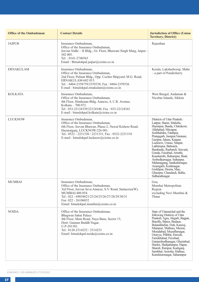| <b>Office of the Ombudsman</b> | <b>Contact Details</b>                                                                                                                                                                                                                                      | <b>Jurisdiction of Office (Union</b><br><b>Territory, District)</b>                                                                                                                                                                                                                                                                                                                                                                                                                                                          |
|--------------------------------|-------------------------------------------------------------------------------------------------------------------------------------------------------------------------------------------------------------------------------------------------------------|------------------------------------------------------------------------------------------------------------------------------------------------------------------------------------------------------------------------------------------------------------------------------------------------------------------------------------------------------------------------------------------------------------------------------------------------------------------------------------------------------------------------------|
| <b>JAIPUR</b>                  | Insurance Ombudsman,<br>Office of the Insurance Ombudsman,<br>Jeevan Nidhi - II Bldg., Gr. Floor, Bhawani Singh Marg, Jaipur -<br>302 005.<br>Tel.: 0141-2740363<br>Email: Bimalokpal.jaipur@cioins.co.in                                                   | Rajasthan                                                                                                                                                                                                                                                                                                                                                                                                                                                                                                                    |
| <b>ERNAKULAM</b>               | Insurance Ombudsman,<br>Office of the Insurance Ombudsman.<br>2nd Floor, Pulinat Bldg., Opp. Cochin Shipyard, M.G. Road,<br>ERNAKULAM-682 015.<br>Tel.: 0484-2358759/2359338, Fax: 0484-2359336<br>E-mail: bimalokpal.ernakulam@cioins.co.in                | Kerala, Lakshadweep, Mahe<br>- a part of Pondicherry                                                                                                                                                                                                                                                                                                                                                                                                                                                                         |
| <b>KOLKATA</b>                 | Insurance Ombudsman,<br>Office of the Insurance Ombudsman,<br>4th Floor, Hindustan Bldg. Annexe, 4, C.R. Avenue,<br>Kolkata - 700 072.<br>Tel: 033-22124339/22124340, Fax: 033-22124341<br>E-mail: bimalokpal.kolkata@cioins.co.in                          | West Bengal, Andaman &<br>Nicobar Islands, Sikkim                                                                                                                                                                                                                                                                                                                                                                                                                                                                            |
| <b>LUCKNOW</b>                 | Insurance Ombudsman,<br>Office of the Insurance Ombudsman,<br>6th Floor, Jeevan Bhawan, Phase-2, Nawal Kishore Road,<br>Hazaratganj, LUCKNOW-226 001.<br>Tel.: 0522 - 2231330 / 2231331, Fax: 0522-2231310<br>E-mail: bimalokpal.lucknow@cioins.co.in       | Districts of Uttar Pradesh:<br>Laitpur, Jhansi, Mahoba,<br>Hamirpur, Banda, Chitrakoot,<br>Allahabad, Mirzapur,<br>Sonbhabdra, Fatehpur,<br>Pratapgarh, Jaunpur, Varanasi,<br>Gazipur, Jalaun, Kanpur,<br>Lucknow, Unnao, Sitapur,<br>Lakhimpur, Bahraich,<br>Barabanki, Raebareli, Sravasti,<br>Gonda, Faizabad, Amethi,<br>Kaushambi, Balrampur, Basti,<br>Ambedkarnagar, Sultanpur,<br>Maharajgang, Santkabirnagar,<br>Azamgarh, Kushinagar,<br>Gorkhpur, Deoria, Mau,<br>Ghazipur, Chandauli, Ballia,<br>Sidharathnagar. |
| <b>MUMBAI</b>                  | Insurance Ombudsman,<br>Office of the Insurance Ombudsman,<br>3rd Floor, Jeevan Seva Annexe, S.V. Road, Santacruz(W),<br>MUMBAI-400 054.<br>Tel.: 022 - 69038821/23/24/25/26/27/28/29/30/31<br>Fax: 022 - 26106052<br>Email: bimalokpal.mumbai@cioins.co.in | Goa,<br>Mumbai Metropolitan<br>Region<br>excluding Navi Mumbai &<br>Thane                                                                                                                                                                                                                                                                                                                                                                                                                                                    |
| <b>NOIDA</b>                   | Office of the Insurance Ombudsman,<br>Bhagwan Sahai Palace<br>4th Floor, Main Road, Naya Bans, Sector 15,<br>Distt: Gautam Buddh Nagar,<br>U.P-201301.<br>Tel.: 0120-2514252 / 2514253<br>Email: bimalokpal.noida@cioins.co.in                              | State of Uttaranchal and the<br>following Districts of Uttar<br>Pradesh: Agra, Aligarh, Bagpat,<br>Bareilly, Bijnor, Budaun,<br>Bulandshehar, Etah, Kanooj,<br>Mainpuri, Mathura, Meerut,<br>Moradabad, Muzaffarnagar,<br>Oraivva, Pilibhit, Etawah.<br>Farrukhabad, Firozbad,<br>Gautambodhanagar, Ghaziabad,<br>Hardoi, Shahjahanpur, Hapur,<br>Shamli, Rampur, Kashganj,<br>Sambhal, Amroha, Hathras,<br>Kanshiramnagar, Saharanpur                                                                                       |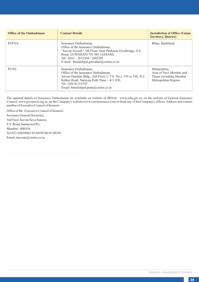| <b>Office of the Ombudsman</b> | <b>Contact Details</b>                                                                                                                                                                                                                    | <b>Jurisdiction of Office (Union</b><br><b>Territory, District)</b>                       |
|--------------------------------|-------------------------------------------------------------------------------------------------------------------------------------------------------------------------------------------------------------------------------------------|-------------------------------------------------------------------------------------------|
| <b>PATNA</b>                   | Insurance Ombudsman.<br>Office of the Insurance Ombudsman.<br>"Jeevan Nivesh", 5th Floor, Near Panbazar Overbridge, S.S.<br>Road, GUWAHATI-781 001 (ASSAM).<br>Tel.: 0361 - 2632204 / 2602205<br>E-mail: bimalokpal.guwahati@cioins.co.in | Bihar, Jharkhand                                                                          |
| <b>PUNE</b>                    | Insurance Ombudsman,<br>Office of the Insurance Ombudsman.<br>Jeevan Darshan Bldg., 2nd Floor, C.T.S. No.s. 195 to 198, N.C.<br>Kelkar Road, Narayan Peth, Pune - 411 030.<br>Tel.: 020-41312555<br>Email: bimalokpal.pune@cioins.co.in   | Maharashtra,<br>Area of Navi Mumbai and<br>Thane excluding Mumbai<br>Metropolitan Region. |

The updated details of Insurance Ombudsman are available on website of IRDAI: www.irda.gov.in, on the website of General Insurance Council: www.gicouncil.org.in, on the Company's website www.careinsurance.com or from any of the Company's offices. Address and contact number of Executive Council of Insurers –

Email- inscoun@cioins.co.in Mumbai - 400 054. Office of the 'Executive Council of Insurers' Secretary General/Secretary, 3rd Floor, Jeevan Seva Annexe, Tel:022-69038801/03/04/05/06/07/08/09 S.V. Road, Santacruz(W),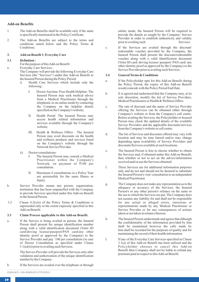#### **Add-on Benefits**

- 1. The Add-on Benefits shall be available only if the same is specifically mentioned in the Policy Certificate.
- 2. The Add-on Benefits are subject to the terms and conditions stated below and the Policy Terms & Conditions.

#### **3. Add-on Benefit 1: Everyday Care**

#### **3.1 Definition :**

For the purpose of this Add-on Benefit :

a. Everyday Care Services :

The Company will provide the following Everyday Care Services (the "Services") under this Add-on Benefit to the Insured Person during the Policy Period:

- i) Health Care Services which include only the following :
	- I. Doctor Anytime /Free Health Helpline: The Insured Person may seek medical advice from a Medical Practitioner through the telephonic or on online mode by contacting the Company on the helpline details specified on the Company's website;
	- II. Health Portal: The Insured Person may access health related information and services available through the Company's website;
	- III. Health & Wellness Offers : The Insured Person may avail discounts on the health and wellness products and services listed on the Company's website through the Network Service Provider.
- ii) Doctor consultations:
	- The Insured Person may consult a Medical Practitioner within the Company's Network, on payment of  $\bar{\tau}100$  per consultation.
	- II. Maximum 4 consultations in a Policy Year are permissible for the same Illness or Injury.
- b. Service Provider means any person, organization, institution that has been empanelled with the Company to provide Services specified under this Add-on Benefit to the Insured Person.
- 3.2 Clause 4.2(xiii) of the Policy Terms & Conditions is superseded only to the extent expressly specified in this Add-on Benefit.

#### **3.3 Claim Process applicable to this Add-on Benefit.**

a. If the Service is being availed in person, the Insured Person shall present his unique identification number along with a valid identification document (Voter ID card/driving license/passport/PAN card/any other identity proof as approved by the Company) to the Service Provider and pay `100 per consultation (in case of Doctor Consultation as specified under Clause 3.1(a)(ii)) prior to availing such Services.

> The Service Provider will provide the Services only after validation and authorization of the unique identification number by the Company.

b. If the Services are availed over the telephone or through

online mode, the Insured Person will be required to provide the details as sought by the Company/ Service Provider in order to establish authenticity and validity<br>prior to availing such Services. prior to availing such

c. If the Services are availed through the discount/ redeemable voucher provided by the Company, the Insured Person shall present the discount/redeemable voucher along with a valid identification document (Voter ID card/ driving license/ passport/ PAN card/ any other identity proof as approved by the Company) to the Service Provider prior to availing such Services.

#### **3.4 General Terms & Conditions**

- a. If the Policyholder opts for this Add-on Benefit during the Policy Period, the expiry of this Add-on Benefit would coincide with the Policy Period End Date.
- b. It is agreed and understood that the Company may, at its sole discretion, modify the list of Service Providers, Medical Practitioners or Health & Wellness Offers.
- c. The rate of discount and the name of Service Provider offering the Services can be obtained either through Company's website or from the Company's call centre. Before availing the Services, the Policyholder or Insured Person may check the updated details of the available Service Providers and the applicable discounts/services from the Company's website or call centre.
- d. The list of Services and discounts offered may vary with location and may be time barred and/or may change depending upon availability of Service Providers and discounts/Services available at such locations.
- e. The Insured Person is free to choose whether to obtain the Services and, if obtained under this Add-on Benefit, then whether or not to act on the advice/information received and/or use the Services obtained.
- f. These Services are for additional information purposes only and do not and should not be deemed to substitute the Insured Person's visit/ consultation to an independent Medical Practitioner.
- g. The Company does not make any representation as to the adequacy or accuracy of the Services, the Insured Person's or any other person's reliance on the same or the use to which the Services are put. The Company does not assume any liability for and shall not be responsible for any actual or alleged errors, omissions or representations made by any Medical Practitioner or Service Provider or for any consequences of actions taken or not taken in reliance thereon.
- h. The Insured Person understands and agrees that although the confidentiality of the information provided by him shall be maintained however the calls made by him shall be recorded for the purposes of quality and for maintaining the record of their health information.
- I. If any of the Everyday Care Services specified in Clause 3.1(a) of this Add-on Benefit has been utilized and the Policyholder chooses to cancel this Add-on Benefit then Company shall not be liable to refund any premium paid in respect to this Add-on Benefit.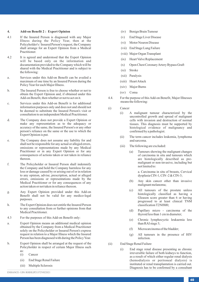#### **4. Add-on Benefit 2 : Expert Opinion**

- 4.1 If the Insured Person is diagnosed with any Major Illness during the Policy Year, then at the Policyholder's / Insured Person's request, the Company shall arrange for an Expert Opinion from a Medical Practitioner.
- 4.2 It is agreed and understood that the Expert Opinion will be based only on the information and documentation provided to the Company which will be shared with the Medical Practitioner and is subject to the following:
- a. Services under this Add-on Benefit can be availed a maximum of one time by an Insured Person during the Policy Year for each Major Illness.
- b. The Insured Person is free to choose whether or not to obtain the Expert Opinion and, if obtained under this Add-on Benefit, then whether or not to act on it.
- Services under this Add-on Benefit is for additional information purposes only and does not and should not be deemed to substitute the Insured Person's visit or consultation to an independent Medical Practitioner.
- d. The Company does not provide a Expert Opinion or make any representation as to the adequacy or accuracy of the same, the Insured Person's or any other person's reliance on the same or the use to which the Expert Opinion is put.
- e. The Company does not assume any liability for and shall not be responsible for any actual or alleged errors, omissions or representations made by any Medical Practitioner or in any Expert Opinion or for any consequences of actions taken or not taken in reliance thereon.
- f. The Policyholder or Insured Person shall indemnify the Company and hold the Company harmless for any loss or damage caused by or arising out of or in relation to any opinion, advise, prescription, actual or alleged errors, omissions or representations made by the Medical Practitioner or for any consequences of any action taken or not taken in reliance thereon.
- g. Any Expert Opinion provided under this Add-on Benefit shall not be valid for any medico-legal purposes.
- h. The Expert Opinion does not entitle the Insured Person to any consultation from or further opinions from that Medical Practitioner.
- 4.3 For the purposes of this Add-on Benefit only:
- a. Expert Opinion means an additional medical opinion obtained by the Company from a Medical Practitioner solely on the Policyholder or Insured Person's express request in relation to a Major Illness which the Insured Person has been diagnosed with during the Policy Year.
- b. Expert Opinion shall be arranged at the request of the Policyholder in respect of certain Major Illness such as:
	- (i) Cancer
	- (ii) End Stage Renal Failure
	- (iii) Multiple Sclerosis
- (iv) Benign Brain Tumour
- (v) End Stage Liver Disease
- (vi) Motor Neuron Disease
- (vii) End Stage Lung Failure
- (viii) Major Organ Transplant
- (ix) Heart Valve Replacement
- (x) Open Chest Coronary Artery Bypass Graft
- (xi) Stroke
- (xii) Paralysis
- (xiii) Heart Attack
- (xiv) Major Burns
- (xv) Coma
- 4.4. For the purpose of this Add-on Benefit, Major Illnesses means the following:
- (i) Cancer
	- (i) A malignant tumour characterized by the uncontrolled growth and spread of malignant cells with invasion and destruction of normal tissues. This diagnosis must be supported by histological evidence of malignancy and confirmed by a pathologist.
	- (ii) The term cancer includes leukemia, lymphoma and sarcoma.
	- (iii) The following are excluded:
		- (a) Tumours showing the malignant changes of carcinoma in situ and tumours which are histologically described as premalignant or non-invasive, including but not limited to:

a. Carcinoma in situ of breasts, Cervical dysplasia CIN-1, CIN -2 & CIN-3;

- (b) Any skin cancer other than invasive malignant melanoma;
- (c) All tumours of the prostate unless histologically classified as having a Gleason score greater than 6 or having progressed to at least clinical TNM classification T2N0M0;
- (d) Papillary micro carcinoma of the thyroid less than 1 cm in diameter;
- (e) Chronic lymphocyctic leukaemia less than RAI stage 3;
- (f) Microcarcinoma of the bladder;
- (g) All tumours in the presence of HIV infection.
- (ii) End Stage Renal Failure
	- (i) End stage renal disease presenting as chronic irreversible failure of both kidneys to function, as a result of which either regular renal dialysis (hemodialysis or peritoneal dialysis) is instituted or renal transplantation is carried out. Diagnosis has to be confirmed by a consultant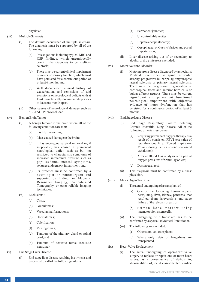physician.

- (iii) Multiple Sclerosis
	- (i) The definite occurrence of multiple sclerosis. The diagnosis must be supported by all of the following:
		- (a) Investigations including typical MRI and CSF findings, which unequivocally confirm the diagnosis to be multiple sclerosis;
		- (b) There must be current clinical impairment of motor or sensory function, which must have persisted for a continuous period of at least 6 months; and
		- (c) Well documented clinical history of exacerbations and remissions of said symptoms or neurological deficits with at least two clinically documented episodes at least one month apart.
	- (ii) Other causes of neurological damage such as SLE and HIV are excluded.
- (iv) Benign Brain Tumor
	- (i) A benign tumour in the brain where all of the following conditions are met:
		- (a) It is life threatening;
		- (b) It has caused damage to the brain;
		- (c) It has undergone surgical removal or, if inoperable, has caused a permanent neurological deficit such as but not restricted to characteristic symptoms of increased intracranial pressure such as papilloedema, mental symptoms, seizures and sensory impairment; and
		- (d) Its presence must be confirmed by a neurologist or neurosurgeon and supported by findings on Magnetic Resonance Imaging, Computerised Tomography, or other reliable imaging techniques.
	- (ii) Exclusions :
		- (a) Cysts;
		- (b) Granulomas;
		- (c) Vascular malformations;
		- (d) Haematomas;
		- (e) Calcification;
		- (f) Meningiomas;
		- (g) Tumours of the pituitary gland or spinal cord; and
		- (h) Tumours of acoustic nerve (acoustic neuroma)
- (v) End Stage Liver Disease
	- (i) End stage liver disease resulting in cirrhosis and evidenced by all of the following criteria:
- (a) Permanent jaundice;
- (b) Uncontrollable ascites;
- (c) Hepatic encephalopathy;
- (d) Oesophageal or Gastric Varices and portal hypertension;
- (ii) Liver disease arising out of or secondary to alcohol or drug misuse is excluded.
- (vi) Motor Neurone Disorder
	- (i) Motor neurone disease diagnosed by a specialist Medical Practitioner as spinal muscular atrophy, progressive bulbar palsy, amyotrophic lateral sclerosis or primary lateral sclerosis. There must be progressive degeneration of corticospinal tracts and anterior horn cells or bulbar efferent neurons. There must be current significant and permanent functional neurological impairment with objective evidence of motor dysfunction that has persisted for a continuous period of at least 3 months.
- (vii) End Stage Lung Disease
	- (i) End Stage Respiratory Failure including Chronic Interstitial Lung Disease. All of the following criteria must be met:
		- (a) Requiring permanent oxygen therapy as a result of a consistent FEV1 test value of less than one litre. (Forced Expiratory Volume during the first second of a forced exhalation);
		- (b) Arterial Blood Gas analysis with partial oxygen pressures of 55mmHg or less;
		- (c) Dyspnoea at rest.
	- (ii) This diagnosis must be confirmed by a chest physician.
- (viii) Major Organ Transplant
	- (i) The actual undergoing of a transplant of:
		- (a) One of the following human organs: heart, lung, liver, kidney, pancreas, that resulted from irreversible end-stage failure of the relevant organ; or
		- (b) Human bone marrow using haematopoietic stem cells.
	- (ii) The undergoing of a transplant has to be confirmed by a specialist Medical Practitioner.
	- (iii) The following are excluded:
		- (a) Other stem-cell transplants;
		- (b) Where only islets of langerhans are transplanted.
- (ix) Heart Valve Replacement
	- (i) The actual undergoing of open-heart valve surgery to replace or repair one or more heart valves, as a consequence of defects in, abnormalities of, or disease-affected cardiac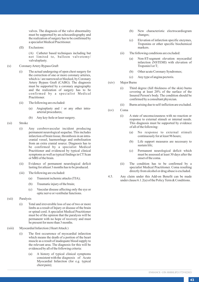valves. The diagnosis of the valve abnormality must be supported by an echocardiography and the realization of surgery has to be confirmed by a specialist Medical Practitioner.

(II) Exclusions:

(A) Catheter based techniques including but not limited to, balloon valvotomy/ valvuloplasty.

- (x) Coronary Artery Bypass Graft
	- (i) The actual undergoing of open chest surgery for the correction of one or more coronary arteries, which is / are narrowed or blocked, by Coronary Artery Bypass Graft (CABG). The diagnosis must be supported by a coronary angiography and the realization of surgery has to be confirmed by a specialist Medical Practitioner.
	- (ii) The following are excluded:
		- (a) Angioplasty and / or any other intraarterial procedures;
		- (b) Any key-hole or laser surgery.
- (xi) Stroke
	- (i) Any cerebrovascular incident producing permanent neurological sequelae. This includes infarction of brain tissue, thrombosis in an intracranial vessel, haemorrhage and embolisation from an extra cranial source. Diagnosis has to be confirmed by a specialist Medical Practitioner and evidenced by typical clinical symptoms as well as typical findings in CT Scan or MRI of the brain.
	- (ii) Evidence of permanent neurological deficit lasting for atleast 3 months has to be produced.
	- (iii) The following are excluded:
		- (a) Transient ischemic attacks (TIA);
		- (b) Traumatic injury of the brain;
		- (c) Vascular disease affecting only the eye or optic nerve or vestibular functions.
- (xii) Paralysis
	- (i) Total and irreversible loss of use of two or more limbs as a result of Injury or disease of the brain or spinal cord. Aspecialist Medical Practitioner must be of the opinion that the paralysis will be permanent with no hope of recovery and must be present for more than 3 months.
- (xiii) Myocardial Infarction ( Heart Attack )
	- (i) The first occurrence of myocardial infarction which means the death of a portion of the heart muscle as a result of inadequate blood supply to the relevant area. The diagnosis for this will be evidenced by all of the following criteria:
		- (a) A history of typical clinical symptoms consistent with the diagnosis of Acute Myocardial Infarction (for e.g. typical chest pain);
- (b) New characteristic electrocardiogram changes;
- (c) Elevation of infarction specific enzymes, Troponins or other specific biochemical markers.
- (ii) The following conditions are excluded:
	- (a) Non-ST-segment elevation myocardial infarction (NSTEMI) with elevation of Troponin I or T;
	- (b) Other acute Coronary Syndromes;
	- (c) Any type of angina pectoris.
- (xiv) Major Burns
	- (i) Third degree (full thickness of the skin) burns covering at least 20% of the surface of the Insured Person's body. The condition should be confirmed by a consultant physician.
	- (ii) Burns arising due to self-infliction are excluded.
- (xv) Coma
	- (i) A state of unconsciousness with no reaction or response to external stimuli or internal needs. This diagnosis must be supported by evidence of all of the following:
		- (a) No response to external stimuli continuously for at least 96 hours;
		- (b) Life support measures are necessary to sustain life;
		- (c) Permanent neurological deficit which must be assessed at least 30 days after the onset of the coma.
	- (ii) The condition has to be confirmed by a specialist Medical Practitioner. Coma resulting directly from alcohol or drug abuse is excluded.
- 4.5. Any claim under this Add-on Benefit can be made under clause 6.1.2(a) of the Policy Term & Conditions.